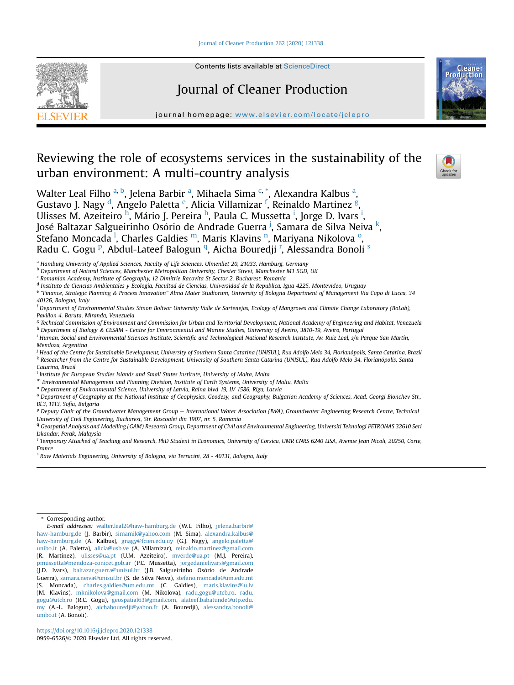### [Journal of Cleaner Production 262 \(2020\) 121338](https://doi.org/10.1016/j.jclepro.2020.121338)



Contents lists available at ScienceDirect

# Journal of Cleaner Production

journal homepage: [www.elsevier.com/locate/jclepro](http://www.elsevier.com/locate/jclepro)

# Reviewing the role of ecosystems services in the sustainability of the urban environment: A multi-country analysis



**Production** 

W[a](#page-0-0)lter Leal Filho <sup>a, [b](#page-0-1)</sup>, Jelena Barbir <sup>a</sup>, Mihaela Sima <sup>[c](#page-0-2), [\\*](#page-0-3)</sup>, Alexandra Kalbus <sup>a</sup>, Gustavo J. Nagy <sup>[d](#page-0-4)</sup>, Ang[e](#page-0-5)lo Paletta <sup>e</sup>, Alicia Villamizar <sup>[f](#page-0-6)</sup>, Reinaldo Martinez <sup>[g](#page-0-7)</sup>, Ulisses M. Azeiteiro <sup>[h](#page-0-8)</sup>, Már[i](#page-0-9)o J. Pereira <sup>h</sup>, Paula C. Mussetta <sup>i</sup>, Jorge D. Ivars <sup>i</sup>, José Baltazar Salgueirinho Osório de Andrade Guerra <sup>[j](#page-0-10)</sup>, Samara de Silva Neiva <sup>[k](#page-0-11)</sup>, Stefano Moncada <sup>I</sup>, Char[l](#page-0-12)es Galdies <sup>[m](#page-0-13)</sup>, Maris Klavi[n](#page-0-14)s <sup>n</sup>, Mariyana Nik[o](#page-0-15)lova <sup>o</sup>, Radu C. Gogu <su[p](#page-0-16)>p</sup>, Abdul-Lateef Balogun <sup>[q](#page-0-17)</sup>, Aicha Bou[r](#page-0-18)edji <[s](#page-0-19)up>r</sup>, Alessandra Bonoli <sup>s</sup>

<span id="page-0-5"></span><sup>e</sup> "Finance, Strategic Planning & Process Innovation" Alma Mater Studiorum, University of Bologna Department of Management Via Capo di Lucca, 34 40126, Bologna, Italy

<span id="page-0-7"></span><sup>g</sup> Technical Commission of Environment and Commission for Urban and Territorial Development, National Academy of Engineering and Habitat, Venezuela

<span id="page-0-8"></span><sup>h</sup> Department of Biology & CESAM - Centre for Environmental and Marine Studies, University of Aveiro, 3810-19, Aveiro, Portugal

- <span id="page-0-9"></span><sup>i</sup> Human, Social and Environmental Sciences Institute, Scientific and Technological National Research Institute, Av. Ruiz Leal, s/n Parque San Martín, Mendoza, Argentina
- <span id="page-0-11"></span><span id="page-0-10"></span><sup>j</sup> Head of the Centre for Sustainable Development, University of Southern Santa Catarina (UNISUL), Rua Adolfo Melo 34, Florianópolis, Santa Catarina, Brazil k Researcher from the Centre for Sustainable Development, University of Southern Santa Catarina (UNISUL), Rua Adolfo Melo 34, Florianópolis, Santa Catarina, Brazil

<span id="page-0-12"></span><sup>1</sup> Institute for European Studies Islands and Small States Institute, University of Malta, Malta

<span id="page-0-13"></span>m Environmental Management and Planning Division, Institute of Earth Systems, University of Malta, Malta

<span id="page-0-14"></span><sup>n</sup> Department of Environmental Science, University of Latvia, Raina blvd 19, LV 1586, Riga, Latvia

<span id="page-0-15"></span><sup>o</sup> Department of Geography at the National Institute of Geophysics, Geodesy, and Geography, Bulgarian Academy of Sciences, Acad. Georgi Bionchev Str., Bl.3, 1113, Sofia, Bulgaria

<span id="page-0-16"></span> $P$  Deputy Chair of the Groundwater Management Group  $-$  International Water Association (IWA), Groundwater Engineering Research Centre, Technical University of Civil Engineering, Bucharest, Str. Rascoalei din 1907, nr. 5, Romania

<span id="page-0-17"></span><sup>q</sup> Geospatial Analysis and Modelling (GAM) Research Group, Department of Civil and Environmental Engineering, Universiti Teknologi PETRONAS 32610 Seri Iskandar, Perak, Malaysia

<span id="page-0-18"></span><sup>r</sup> Temporary Attached of Teaching and Research, PhD Student in Economics, University of Corsica, UMR CNRS 6240 LISA, Avenue Jean Nicoli, 20250, Corte, France

<span id="page-0-19"></span><sup>s</sup> Raw Materials Engineering, University of Bologna, via Terracini, 28 - 40131, Bologna, Italy

<span id="page-0-3"></span>Corresponding author.

E-mail addresses: [walter.leal2@haw-hamburg.de](mailto:walter.leal2@haw-hamburg.de) (W.L. Filho), [jelena.barbir@](mailto:jelena.barbir@haw-hamburg.de) [haw-hamburg.de](mailto:jelena.barbir@haw-hamburg.de) (J. Barbir), [simamik@yahoo.com](mailto:simamik@yahoo.com) (M. Sima), [alexandra.kalbus@](mailto:alexandra.kalbus@haw-hamburg.de) [haw-hamburg.de](mailto:alexandra.kalbus@haw-hamburg.de) (A. Kalbus), [gnagy@fcien.edu.uy](mailto:gnagy@fcien.edu.uy) (G.J. Nagy), [angelo.paletta@](mailto:angelo.paletta@unibo.it) [unibo.it](mailto:angelo.paletta@unibo.it) (A. Paletta), [alicia@usb.ve](mailto:alicia@usb.ve) (A. Villamizar), [reinaldo.martinez@gmail.com](mailto:reinaldo.martinez@gmail.com) (R. Martinez), [ulisses@ua.pt](mailto:ulisses@ua.pt) (U.M. Azeiteiro), [mverde@ua.pt](mailto:mverde@ua.pt) (M.J. Pereira), [pmussetta@mendoza-conicet.gob.ar](mailto:pmussetta@mendoza-conicet.gob.ar) (P.C. Mussetta), [jorgedanielivars@gmail.com](mailto:jorgedanielivars@gmail.com) (J.D. Ivars), [baltazar.guerra@unisul.br](mailto:baltazar.guerra@unisul.br) (J.B. Salgueirinho Osorio de Andrade Guerra), [samara.neiva@unisul.br](mailto:samara.neiva@unisul.br) (S. de Silva Neiva), [stefano.moncada@um.edu.mt](mailto:stefano.moncada@um.edu.mt) (S. Moncada), [charles.galdies@um.edu.mt](mailto:charles.galdies@um.edu.mt) (C. Galdies), [maris.klavins@lu.lv](mailto:maris.klavins@lu.lv) (M. Klavins), [mknikolova@gmail.com](mailto:mknikolova@gmail.com) (M. Nikolova), [radu.gogu@utcb.ro,](mailto:radu.gogu@utcb.ro) [radu.](mailto:radu.gogu@utcb.ro) [gogu@utcb.ro](mailto:radu.gogu@utcb.ro) (R.C. Gogu), [geospatial63@gmail.com](mailto:geospatial63@gmail.com), [alateef.babatunde@utp.edu.](mailto:alateef.babatunde@utp.edu.my) [my](mailto:alateef.babatunde@utp.edu.my) (A.-L. Balogun), [aichabouredji@yahoo.fr](mailto:aichabouredji@yahoo.fr) (A. Bouredji), [alessandra.bonoli@](mailto:alessandra.bonoli@unibo.it) [unibo.it](mailto:alessandra.bonoli@unibo.it) (A. Bonoli).

<span id="page-0-0"></span><sup>&</sup>lt;sup>a</sup> Hamburg University of Applied Sciences, Faculty of Life Sciences, Ulmenliet 20, 21033, Hamburg, Germany

<span id="page-0-1"></span>b Department of Natural Sciences, Manchester Metropolitan University, Chester Street, Manchester M1 5GD, UK

<span id="page-0-2"></span><sup>c</sup> Romanian Academy, Institute of Geography, 12 Dimitrie Racovita St Sector 2, Bucharest, Romania

<span id="page-0-4"></span><sup>d</sup> Instituto de Ciencias Ambientales y Ecologia, Facultad de Ciencias, Universidad de la Republica, Igua 4225, Montevideo, Uruguay

<span id="page-0-6"></span><sup>&</sup>lt;sup>f</sup> Department of Environmental Studies Simon Bolivar University Valle de Sartenejas, Ecology of Mangroves and Climate Change Laboratory (BoLab), Pavillon 4. Baruta, Miranda, Venezuela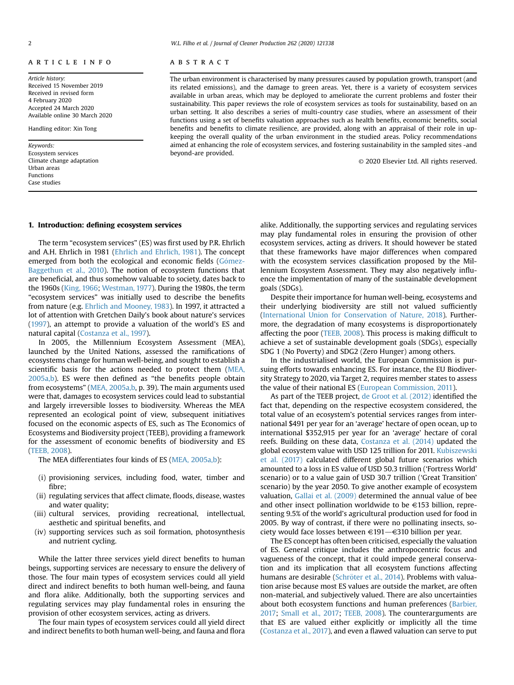# article info

Article history: Received 15 November 2019 Received in revised form 4 February 2020 Accepted 24 March 2020 Available online 30 March 2020

Handling editor: Xin Tong

Keywords: Ecosystem services Climate change adaptation Urban areas Functions Case studies

# **ABSTRACT**

The urban environment is characterised by many pressures caused by population growth, transport (and its related emissions), and the damage to green areas. Yet, there is a variety of ecosystem services available in urban areas, which may be deployed to ameliorate the current problems and foster their sustainability. This paper reviews the role of ecosystem services as tools for sustainability, based on an urban setting. It also describes a series of multi-country case studies, where an assessment of their functions using a set of benefits valuation approaches such as health benefits, economic benefits, social benefits and benefits to climate resilience, are provided, along with an appraisal of their role in upkeeping the overall quality of the urban environment in the studied areas. Policy recommendations aimed at enhancing the role of ecosystem services, and fostering sustainability in the sampled sites -and beyond-are provided.

© 2020 Elsevier Ltd. All rights reserved.

# 1. Introduction: defining ecosystem services

The term "ecosystem services" (ES) was first used by P.R. Ehrlich and A.H. Ehrlich in 1981 [\(Ehrlich and Ehrlich, 1981](#page-11-0)). The concept emerged from both the ecological and economic fields (Gómez-[Baggethun et al., 2010](#page-12-0)). The notion of ecosystem functions that are beneficial, and thus somehow valuable to society, dates back to the 1960s [\(King, 1966](#page-12-1); [Westman, 1977\)](#page-13-0). During the 1980s, the term "ecosystem services" was initially used to describe the benefits from nature (e.g. [Ehrlich and Mooney, 1983\)](#page-11-1). In 1997, it attracted a lot of attention with Gretchen Daily's book about nature's services ([1997](#page-11-2)), an attempt to provide a valuation of the world's ES and natural capital ([Costanza et al., 1997\)](#page-11-3).

In 2005, the Millennium Ecosystem Assessment (MEA), launched by the United Nations, assessed the ramifications of ecosystems change for human well-being, and sought to establish a scientific basis for the actions needed to protect them [\(MEA,](#page-12-2) [2005a,b\)](#page-12-2). ES were then defined as "the benefits people obtain from ecosystems" ([MEA, 2005a,b,](#page-12-2) p. 39). The main arguments used were that, damages to ecosystem services could lead to substantial and largely irreversible losses to biodiversity. Whereas the MEA represented an ecological point of view, subsequent initiatives focused on the economic aspects of ES, such as The Economics of Ecosystems and Biodiversity project (TEEB), providing a framework for the assessment of economic benefits of biodiversity and ES ([TEEB, 2008](#page-13-1)).

The MEA differentiates four kinds of ES [\(MEA, 2005a,b](#page-12-2)):

- (i) provisioning services, including food, water, timber and fibre;
- (ii) regulating services that affect climate, floods, disease, wastes and water quality;
- (iii) cultural services, providing recreational, intellectual, aesthetic and spiritual benefits, and
- (iv) supporting services such as soil formation, photosynthesis and nutrient cycling.

While the latter three services yield direct benefits to human beings, supporting services are necessary to ensure the delivery of those. The four main types of ecosystem services could all yield direct and indirect benefits to both human well-being, and fauna and flora alike. Additionally, both the supporting services and regulating services may play fundamental roles in ensuring the provision of other ecosystem services, acting as drivers.

The four main types of ecosystem services could all yield direct and indirect benefits to both human well-being, and fauna and flora alike. Additionally, the supporting services and regulating services may play fundamental roles in ensuring the provision of other ecosystem services, acting as drivers. It should however be stated that these frameworks have major differences when compared with the ecosystem services classification proposed by the Millennium Ecosystem Assessment. They may also negatively influence the implementation of many of the sustainable development goals (SDGs).

Despite their importance for human well-being, ecosystems and their underlying biodiversity are still not valued sufficiently ([International Union for Conservation of Nature, 2018](#page-12-3)). Furthermore, the degradation of many ecosystems is disproportionately affecting the poor [\(TEEB, 2008\)](#page-13-1). This process is making difficult to achieve a set of sustainable development goals (SDGs), especially SDG 1 (No Poverty) and SDG2 (Zero Hunger) among others.

In the industrialised world, the European Commission is pursuing efforts towards enhancing ES. For instance, the EU Biodiversity Strategy to 2020, via Target 2, requires member states to assess the value of their national ES ([European Commission, 2011\)](#page-12-4).

As part of the TEEB project, [de Groot et al. \(2012\)](#page-11-4) identified the fact that, depending on the respective ecosystem considered, the total value of an ecosystem's potential services ranges from international \$491 per year for an 'average' hectare of open ocean, up to international \$352,915 per year for an 'average' hectare of coral reefs. Building on these data, [Costanza et al. \(2014\)](#page-11-5) updated the global ecosystem value with USD 125 trillion for 2011. [Kubiszewski](#page-12-5) [et al. \(2017\)](#page-12-5) calculated different global future scenarios which amounted to a loss in ES value of USD 50.3 trillion ('Fortress World' scenario) or to a value gain of USD 30.7 trillion ('Great Transition' scenario) by the year 2050. To give another example of ecosystem valuation, [Gallai et al. \(2009\)](#page-12-6) determined the annual value of bee and other insect pollination worldwide to be  $\in$ 153 billion, representing 9.5% of the world's agricultural production used for food in 2005. By way of contrast, if there were no pollinating insects, society would face losses between  $\in$ 191 $\in$ 310 billion per year.

The ES concept has often been criticised, especially the valuation of ES. General critique includes the anthropocentric focus and vagueness of the concept, that it could impede general conservation and its implication that all ecosystem functions affecting humans are desirable (Schröter et al., 2014). Problems with valuation arise because most ES values are outside the market, are often non-material, and subjectively valued. There are also uncertainties about both ecosystem functions and human preferences [\(Barbier,](#page-11-6) [2017;](#page-11-6) [Small et al., 2017;](#page-12-8) [TEEB, 2008](#page-13-1)). The counterarguments are that ES are valued either explicitly or implicitly all the time ([Costanza et al., 2017](#page-11-7)), and even a flawed valuation can serve to put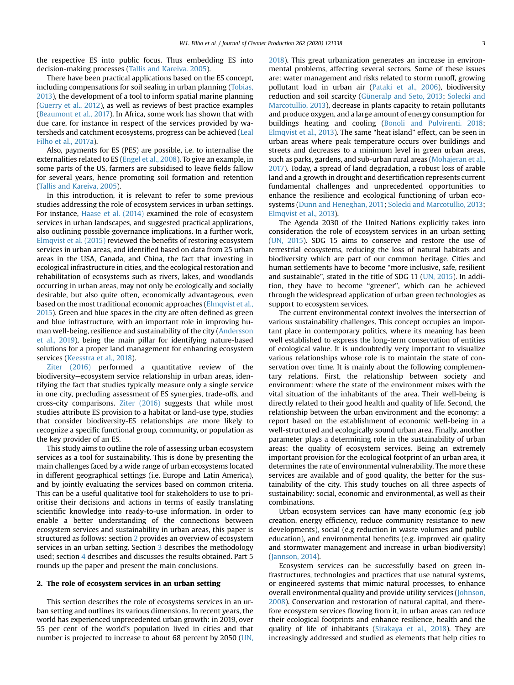the respective ES into public focus. Thus embedding ES into decision-making processes ([Tallis and Kareiva. 2005\)](#page-13-2).

There have been practical applications based on the ES concept, including compensations for soil sealing in urban planning ([Tobias,](#page-13-3) [2013\)](#page-13-3), the development of a tool to inform spatial marine planning ([Guerry et al., 2012](#page-12-9)), as well as reviews of best practice examples ([Beaumont et al., 2017](#page-11-8)). In Africa, some work has shown that with due care, for instance in respect of the services provided by watersheds and catchment ecosystems, progress can be achieved ([Leal](#page-12-10) [Filho et al., 2017a\)](#page-12-10).

Also, payments for ES (PES) are possible, i.e. to internalise the externalities related to ES [\(Engel et al., 2008](#page-11-9)). To give an example, in some parts of the US, farmers are subsidised to leave fields fallow for several years, hence promoting soil formation and retention ([Tallis and Kareiva, 2005](#page-13-2)).

In this introduction, it is relevant to refer to some previous studies addressing the role of ecosystem services in urban settings. For instance, [Haase et al. \(2014\)](#page-12-11) examined the role of ecosystem services in urban landscapes, and suggested practical applications, also outlining possible governance implications. In a further work, [Elmqvist et al. \(2015\)](#page-11-10) reviewed the benefits of restoring ecosystem services in urban areas, and identified based on data from 25 urban areas in the USA, Canada, and China, the fact that investing in ecological infrastructure in cities, and the ecological restoration and rehabilitation of ecosystems such as rivers, lakes, and woodlands occurring in urban areas, may not only be ecologically and socially desirable, but also quite often, economically advantageous, even based on the most traditional economic approaches [\(Elmqvist et al.,](#page-11-10) [2015\)](#page-11-10). Green and blue spaces in the city are often defined as green and blue infrastructure, with an important role in improving human well-being, resilience and sustainability of the city ([Andersson](#page-11-11) [et al., 2019\)](#page-11-11), being the main pillar for identifying nature-based solutions for a proper land management for enhancing ecosystem services [\(Keesstra et al., 2018\)](#page-12-12).

[Ziter \(2016\)](#page-13-4) performed a quantitative review of the biodiversity–ecosystem service relationship in urban areas, identifying the fact that studies typically measure only a single service in one city, precluding assessment of ES synergies, trade-offs, and cross-city comparisons. [Ziter \(2016\)](#page-13-4) suggests that while most studies attribute ES provision to a habitat or land-use type, studies that consider biodiversity-ES relationships are more likely to recognize a specific functional group, community, or population as the key provider of an ES.

This study aims to outline the role of assessing urban ecosystem services as a tool for sustainability. This is done by presenting the main challenges faced by a wide range of urban ecosystems located in different geographical settings (i.e. Europe and Latin America), and by jointly evaluating the services based on common criteria. This can be a useful qualitative tool for stakeholders to use to prioritise their decisions and actions in terms of easily translating scientific knowledge into ready-to-use information. In order to enable a better understanding of the connections between ecosystem services and sustainability in urban areas, this paper is structured as follows: section [2](#page-2-0) provides an overview of ecosystem services in an urban setting. Section [3](#page-3-0) describes the methodology used; section [4](#page-4-0) describes and discusses the results obtained. Part 5 rounds up the paper and present the main conclusions.

#### <span id="page-2-0"></span>2. The role of ecosystem services in an urban setting

This section describes the role of ecosystems services in an urban setting and outlines its various dimensions. In recent years, the world has experienced unprecedented urban growth: in 2019, over 55 per cent of the world's population lived in cities and that number is projected to increase to about 68 percent by 2050 ([UN,](#page-13-5) [2018\)](#page-13-5). This great urbanization generates an increase in environmental problems, affecting several sectors. Some of these issues are: water management and risks related to storm runoff, growing pollutant load in urban air ([Pataki et al., 2006\)](#page-12-13), biodiversity reduction and soil scarcity ([Güneralp and Seto, 2013](#page-12-14); [Solecki and](#page-12-15) [Marcotullio, 2013\)](#page-12-15), decrease in plants capacity to retain pollutants and produce oxygen, and a large amount of energy consumption for buildings heating and cooling [\(Bonoli and Pulvirenti. 2018;](#page-11-12) [Elmqvist et al., 2013](#page-11-13)). The same "heat island" effect, can be seen in urban areas where peak temperature occurs over buildings and streets and decreases to a minimum level in green urban areas, such as parks, gardens, and sub-urban rural areas [\(Mohajeran et al.,](#page-12-16) [2017](#page-12-16)). Today, a spread of land degradation, a robust loss of arable land and a growth in drought and desertification represents current fundamental challenges and unprecedented opportunities to enhance the resilience and ecological functioning of urban ecosystems ([Dunn and Heneghan, 2011](#page-11-14); [Solecki and Marcotullio, 2013;](#page-12-15) [Elmqvist et al., 2013\)](#page-11-13).

The Agenda 2030 of the United Nations explicitly takes into consideration the role of ecosystem services in an urban setting ([UN, 2015](#page-13-6)). SDG 15 aims to conserve and restore the use of terrestrial ecosystems, reducing the loss of natural habitats and biodiversity which are part of our common heritage. Cities and human settlements have to become "more inclusive, safe, resilient and sustainable", stated in the title of SDG 11 [\(UN, 2015](#page-13-6)). In addition, they have to become "greener", which can be achieved through the widespread application of urban green technologies as support to ecosystem services.

The current environmental context involves the intersection of various sustainability challenges. This concept occupies an important place in contemporary politics, where its meaning has been well established to express the long-term conservation of entities of ecological value. It is undoubtedly very important to visualize various relationships whose role is to maintain the state of conservation over time. It is mainly about the following complementary relations. First, the relationship between society and environment: where the state of the environment mixes with the vital situation of the inhabitants of the area. Their well-being is directly related to their good health and quality of life. Second, the relationship between the urban environment and the economy: a report based on the establishment of economic well-being in a well-structured and ecologically sound urban area. Finally, another parameter plays a determining role in the sustainability of urban areas: the quality of ecosystem services. Being an extremely important provision for the ecological footprint of an urban area, it determines the rate of environmental vulnerability. The more these services are available and of good quality, the better for the sustainability of the city. This study touches on all three aspects of sustainability: social, economic and environmental, as well as their combinations.

Urban ecosystem services can have many economic (e.g job creation, energy efficiency, reduce community resistance to new developments), social (e.g reduction in waste volumes and public education), and environmental benefits (e.g. improved air quality and stormwater management and increase in urban biodiversity) ([Jannson, 2014](#page-12-17)).

Ecosystem services can be successfully based on green infrastructures, technologies and practices that use natural systems, or engineered systems that mimic natural processes, to enhance overall environmental quality and provide utility services [\(Johnson,](#page-12-18) [2008\)](#page-12-18). Conservation and restoration of natural capital, and therefore ecosystem services flowing from it, in urban areas can reduce their ecological footprints and enhance resilience, health and the quality of life of inhabitants [\(Sirakaya et al., 2018\)](#page-12-19). They are increasingly addressed and studied as elements that help cities to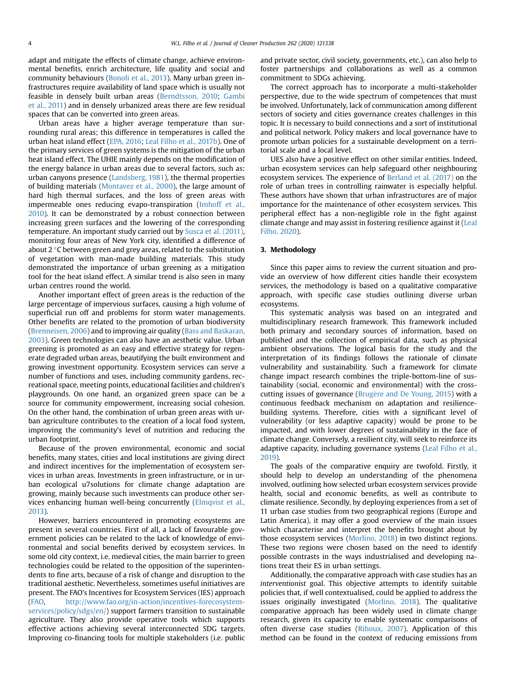adapt and mitigate the effects of climate change, achieve environmental benefits, enrich architecture, life quality and social and community behaviours ([Bonoli et al., 2013](#page-11-15)). Many urban green infrastructures require availability of land space which is usually not feasible in densely built urban areas [\(Berndtsson, 2010](#page-11-16); [Gambi](#page-12-20) [et al., 2011\)](#page-12-20) and in densely urbanized areas there are few residual spaces that can be converted into green areas.

Urban areas have a higher average temperature than surrounding rural areas; this difference in temperatures is called the urban heat island effect [\(EPA, 2016;](#page-11-17) [Leal Filho et al., 2017b\)](#page-12-21). One of the primary services of green systems is the mitigation of the urban heat island effect. The UHIE mainly depends on the modification of the energy balance in urban areas due to several factors, such as: urban canyons presence ([Landsberg, 1981\)](#page-12-22), the thermal properties of building materials ([Montavez et al., 2000](#page-12-23)), the large amount of hard high thermal surfaces, and the loss of green areas with impermeable ones reducing evapo-transpiration [\(Imhoff et al.,](#page-12-24) [2010](#page-12-24)). It can be demonstrated by a robust connection between increasing green surfaces and the lowering of the corresponding temperature. An important study carried out by [Susca et al. \(2011\),](#page-13-7) monitoring four areas of New York city, identified a difference of about  $2^{\circ}$ C between green and grey areas, related to the substitution of vegetation with man-made building materials. This study demonstrated the importance of urban greening as a mitigation tool for the heat island effect. A similar trend is also seen in many urban centres round the world.

Another important effect of green areas is the reduction of the large percentage of impervious surfaces, causing a high volume of superficial run off and problems for storm water managements. Other benefits are related to the promotion of urban biodiversity ([Brenneisen, 2006\)](#page-11-18) and to improving air quality [\(Bass and Baskaran,](#page-11-19) [2003](#page-11-19)). Green technologies can also have an aesthetic value. Urban greening is promoted as an easy and effective strategy for regenerate degraded urban areas, beautifying the built environment and growing investment opportunity. Ecosystem services can serve a number of functions and uses, including community gardens, recreational space, meeting points, educational facilities and children's playgrounds. On one hand, an organized green space can be a source for community empowerment, increasing social cohesion. On the other hand, the combination of urban green areas with urban agriculture contributes to the creation of a local food system, improving the community's level of nutrition and reducing the urban footprint.

Because of the proven environmental, economic and social benefits, many states, cities and local institutions are giving direct and indirect incentives for the implementation of ecosystem services in urban areas. Investments in green infrastructure, or in urban ecological u7solutions for climate change adaptation are growing, mainly because such investments can produce other services enhancing human well-being concurrently [\(Elmqvist et al.,](#page-11-13) [2013](#page-11-13)).

However, barriers encountered in promoting ecosystems are present in several countries. First of all, a lack of favourable government policies can be related to the lack of knowledge of environmental and social benefits derived by ecosystem services. In some old city context, i.e. medieval cities, the main barrier to green technologies could be related to the opposition of the superintendents to fine arts, because of a risk of change and disruption to the traditional aesthetic. Nevertheless, sometimes useful initiatives are present. The FAO's Incentives for Ecosystem Services (IES) approach ([FAO,](#page-12-25) [http://www.fao.org/in-action/incentives-forecosystem](http://www.fao.org/in-action/incentives-forecosystem-services/policy/sdgs/en/)[services/policy/sdgs/en/\)](http://www.fao.org/in-action/incentives-forecosystem-services/policy/sdgs/en/) support farmers transition to sustainable agriculture. They also provide operative tools which supports effective actions achieving several interconnected SDG targets. Improving co-financing tools for multiple stakeholders (i.e. public and private sector, civil society, governments, etc.), can also help to foster partnerships and collaborations as well as a common commitment to SDGs achieving.

The correct approach has to incorporate a multi-stakeholder perspective, due to the wide spectrum of competences that must be involved. Unfortunately, lack of communication among different sectors of society and cities governance creates challenges in this topic. It is necessary to build connections and a sort of institutional and political network. Policy makers and local governance have to promote urban policies for a sustainable development on a territorial scale and a local level.

UES also have a positive effect on other similar entities. Indeed, urban ecosystem services can help safeguard other neighbouring ecosystem services. The experience of [Berland et al. \(2017\)](#page-11-20) on the role of urban trees in controlling rainwater is especially helpful. These authors have shown that urban infrastructures are of major importance for the maintenance of other ecosystem services. This peripheral effect has a non-negligible role in the fight against climate change and may assist in fostering resilience against it ([Leal](#page-12-26) [Filho, 2020\)](#page-12-26).

#### <span id="page-3-0"></span>3. Methodology

Since this paper aims to review the current situation and provide an overview of how different cities handle their ecosystem services, the methodology is based on a qualitative comparative approach, with specific case studies outlining diverse urban ecosystems.

This systematic analysis was based on an integrated and multidisciplinary research framework. This framework included both primary and secondary sources of information, based on published and the collection of empirical data, such as physical ambient observations. The logical basis for the study and the interpretation of its findings follows the rationale of climate vulnerability and sustainability. Such a framework for climate change impact research combines the triple-bottom-line of sustainability (social, economic and environmental) with the crosscutting issues of governance (Brugère and De Young, 2015) with a continuous feedback mechanism on adaptation and resiliencebuilding systems. Therefore, cities with a significant level of vulnerability (or less adaptive capacity) would be prone to be impacted, and with lower degrees of sustainability in the face of climate change. Conversely, a resilient city, will seek to reinforce its adaptive capacity, including governance systems ([Leal Filho et al.,](#page-12-27) [2019\)](#page-12-27).

The goals of the comparative enquiry are twofold. Firstly, it should help to develop an understanding of the phenomena involved, outlining how selected urban ecosystem services provide health, social and economic benefits, as well as contribute to climate resilience. Secondly, by deploying experiences from a set of 11 urban case studies from two geographical regions (Europe and Latin America), it may offer a good overview of the main issues which characterise and interpret the benefits brought about by those ecosystem services [\(Morlino, 2018](#page-12-28)) in two distinct regions. These two regions were chosen based on the need to identify possible contrasts in the ways industrialised and developing nations treat their ES in urban settings.

Additionally, the comparative approach with case studies has an interventionist goal. This objective attempts to identify suitable policies that, if well contextualised, could be applied to address the issues originally investigated ([Morlino, 2018\)](#page-12-28). The qualitative comparative approach has been widely used in climate change research, given its capacity to enable systematic comparisons of often diverse case studies [\(Rihoux, 2007\)](#page-12-29). Application of this method can be found in the context of reducing emissions from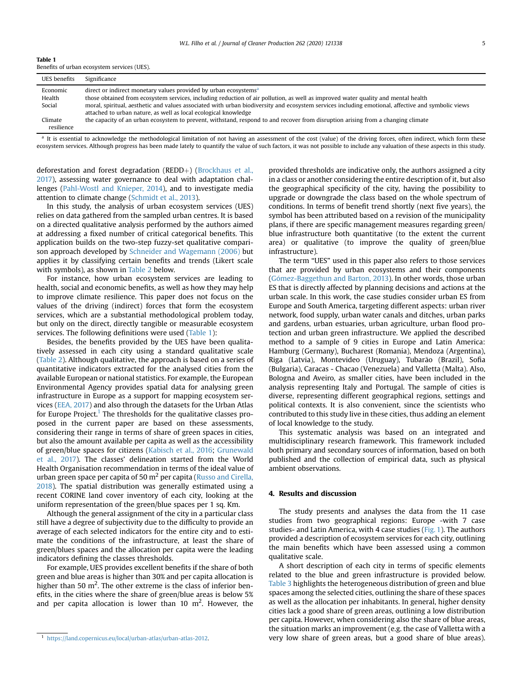| таріе т                                     |  |  |
|---------------------------------------------|--|--|
| Benefits of urban ecosystem services (UES). |  |  |

<span id="page-4-1"></span> $T = T$ 

| UES benefits | Significance                                                                                                                                       |
|--------------|----------------------------------------------------------------------------------------------------------------------------------------------------|
| Economic     | direct or indirect monetary values provided by urban ecosystems <sup>a</sup>                                                                       |
| Health       | those obtained from ecosystem services, including reduction of air pollution, as well as improved water quality and mental health                  |
| Social       | moral, spiritual, aesthetic and values associated with urban biodiversity and ecosystem services including emotional, affective and symbolic views |
|              | attached to urban nature, as well as local ecological knowledge                                                                                    |
| Climate      | the capacity of an urban ecosystem to prevent, withstand, respond to and recover from disruption arising from a changing climate                   |
| resilience   |                                                                                                                                                    |

<span id="page-4-3"></span><sup>a</sup> It is essential to acknowledge the methodological limitation of not having an assessment of the cost (value) of the driving forces, often indirect, which form these ecosystem services. Although progress has been made lately to quantify the value of such factors, it was not possible to include any valuation of these aspects in this study.

deforestation and forest degradation (REDD+) [\(Brockhaus et al.,](#page-11-22) [2017](#page-11-22)), assessing water governance to deal with adaptation challenges [\(Pahl-Wostl and Knieper, 2014](#page-12-30)), and to investigate media attention to climate change [\(Schmidt et al., 2013\)](#page-12-31).

In this study, the analysis of urban ecosystem services (UES) relies on data gathered from the sampled urban centres. It is based on a directed qualitative analysis performed by the authors aimed at addressing a fixed number of critical categorical benefits. This application builds on the two-step fuzzy-set qualitative comparison approach developed by [Schneider and Wagemann \(2006\)](#page-12-32) but applies it by classifying certain benefits and trends (Likert scale with symbols), as shown in [Table 2](#page-5-0) below.

For instance, how urban ecosystem services are leading to health, social and economic benefits, as well as how they may help to improve climate resilience. This paper does not focus on the values of the driving (indirect) forces that form the ecosystem services, which are a substantial methodological problem today, but only on the direct, directly tangible or measurable ecosystem services. The following definitions were used [\(Table 1](#page-4-1)):

Besides, the benefits provided by the UES have been qualitatively assessed in each city using a standard qualitative scale ([Table 2](#page-5-0)). Although qualitative, the approach is based on a series of quantitative indicators extracted for the analysed cities from the available European or national statistics. For example, the European Environmental Agency provides spatial data for analysing green infrastructure in Europe as a support for mapping ecosystem services [\(EEA, 2017](#page-11-23)) and also through the datasets for the Urban Atlas for Europe Project.<sup>1</sup> The thresholds for the qualitative classes proposed in the current paper are based on these assessments, considering their range in terms of share of green spaces in cities, but also the amount available per capita as well as the accessibility of green/blue spaces for citizens [\(Kabisch et al., 2016](#page-12-33); [Grunewald](#page-12-34) [et al., 2017](#page-12-34)). The classes' delineation started from the World Health Organisation recommendation in terms of the ideal value of urban green space per capita of 50  $m<sup>2</sup>$  per capita ([Russo and Cirella,](#page-12-35) [2018\)](#page-12-35). The spatial distribution was generally estimated using a recent CORINE land cover inventory of each city, looking at the uniform representation of the green/blue spaces per 1 sq. Km.

Although the general assignment of the city in a particular class still have a degree of subjectivity due to the difficulty to provide an average of each selected indicators for the entire city and to estimate the conditions of the infrastructure, at least the share of green/blues spaces and the allocation per capita were the leading indicators defining the classes thresholds.

For example, UES provides excellent benefits if the share of both green and blue areas is higher than 30% and per capita allocation is higher than 50 m<sup>2</sup>. The other extreme is the class of inferior benefits, in the cities where the share of green/blue areas is below 5% and per capita allocation is lower than 10  $m^2$ . However, the

provided thresholds are indicative only, the authors assigned a city in a class or another considering the entire description of it, but also the geographical specificity of the city, having the possibility to upgrade or downgrade the class based on the whole spectrum of conditions. In terms of benefit trend shortly (next five years), the symbol has been attributed based on a revision of the municipality plans, if there are specific management measures regarding green/ blue infrastructure both quantitative (to the extent the current area) or qualitative (to improve the quality of green/blue infrastructure).

The term "UES" used in this paper also refers to those services that are provided by urban ecosystems and their components ([G](#page-12-36)ó[mez-Baggethun and Barton, 2013](#page-12-36)). In other words, those urban ES that is directly affected by planning decisions and actions at the urban scale. In this work, the case studies consider urban ES from Europe and South America, targeting different aspects: urban river network, food supply, urban water canals and ditches, urban parks and gardens, urban estuaries, urban agriculture, urban flood protection and urban green infrastructure. We applied the described method to a sample of 9 cities in Europe and Latin America: Hamburg (Germany), Bucharest (Romania), Mendoza (Argentina), Riga (Latvia), Montevideo (Uruguay), Tubarão (Brazil), Sofia (Bulgaria), Caracas - Chacao (Venezuela) and Valletta (Malta). Also, Bologna and Aveiro, as smaller cities, have been included in the analysis representing Italy and Portugal. The sample of cities is diverse, representing different geographical regions, settings and political contexts. It is also convenient, since the scientists who contributed to this study live in these cities, thus adding an element of local knowledge to the study.

This systematic analysis was based on an integrated and multidisciplinary research framework. This framework included both primary and secondary sources of information, based on both published and the collection of empirical data, such as physical ambient observations.

# <span id="page-4-0"></span>4. Results and discussion

The study presents and analyses the data from the 11 case studies from two geographical regions: Europe -with 7 case studies- and Latin America, with 4 case studies ([Fig. 1\)](#page-5-1). The authors provided a description of ecosystem services for each city, outlining the main benefits which have been assessed using a common qualitative scale.

A short description of each city in terms of specific elements related to the blue and green infrastructure is provided below. [Table 3](#page-5-2) highlights the heterogeneous distribution of green and blue spaces among the selected cities, outlining the share of these spaces as well as the allocation per inhabitants. In general, higher density cities lack a good share of green areas, outlining a low distribution per capita. However, when considering also the share of blue areas, the situation marks an improvement (e.g. the case of Valletta with a very low share of green areas, but a good share of blue areas).

<span id="page-4-2"></span><sup>1</sup> [https://land.copernicus.eu/local/urban-atlas/urban-atlas-2012.](https://land.copernicus.eu/local/urban-atlas/urban-atlas-2012)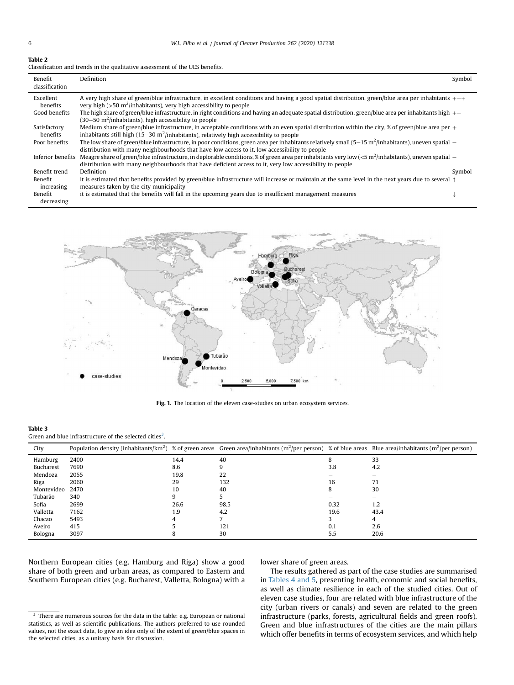# <span id="page-5-0"></span>Table 2

| Classification and trends in the qualitative assessment of the UES benefits. |
|------------------------------------------------------------------------------|
|------------------------------------------------------------------------------|

| Benefit<br>classification | Definition                                                                                                                                                                                                                                                                     | Symbol |
|---------------------------|--------------------------------------------------------------------------------------------------------------------------------------------------------------------------------------------------------------------------------------------------------------------------------|--------|
| Excellent<br>benefits     | A very high share of green/blue infrastructure, in excellent conditions and having a good spatial distribution, green/blue area per inhabitants $+++$<br>very high $(>50 \text{ m}^2/\text{inhabitants})$ , very high accessibility to people                                  |        |
| Good benefits             | The high share of green/blue infrastructure, in right conditions and having an adequate spatial distribution, green/blue area per inhabitants high $++$<br>(30–50 m <sup>2</sup> /inhabitants), high accessibility to people                                                   |        |
| Satisfactory<br>benefits  | Medium share of green/blue infrastructure, in acceptable conditions with an even spatial distribution within the city, % of green/blue area per $+$<br>inhabitants still high (15-30 $m2/inhabitants$ ), relatively high accessibility to people                               |        |
| Poor benefits             | The low share of green/blue infrastructure, in poor conditions, green area per inhabitants relatively small $(5-15 \text{ m}^2/\text{inhabitants})$ , uneven spatial $-$<br>distribution with many neighbourhoods that have low access to it, low accessibility to people      |        |
| Inferior benefits         | Meagre share of green/blue infrastructure, in deplorable conditions, % of green area per inhabitants very low (<5 m <sup>2</sup> /inhabitants), uneven spatial $-$<br>distribution with many neighbourhoods that have deficient access to it, very low accessibility to people |        |
| Benefit trend             | Definition                                                                                                                                                                                                                                                                     | Symbol |
| Benefit<br>increasing     | it is estimated that benefits provided by green/blue infrastructure will increase or maintain at the same level in the next years due to several $\uparrow$<br>measures taken by the city municipality                                                                         |        |
| Benefit<br>decreasing     | it is estimated that the benefits will fall in the upcoming years due to insufficient management measures                                                                                                                                                                      |        |

<span id="page-5-1"></span>

Fig. 1. The location of the eleven case-studies on urban ecosystem services.

<span id="page-5-2"></span>

| Table 3                                                             |
|---------------------------------------------------------------------|
| Green and blue infrastructure of the selected cities <sup>3</sup> . |

| City       |      |      | Population density (inhabitants/km <sup>2</sup> ) % of green areas Green area/inhabitants (m <sup>2</sup> /per person) % of blue areas Blue area/inhabitants (m <sup>2</sup> /per person) |      |      |
|------------|------|------|-------------------------------------------------------------------------------------------------------------------------------------------------------------------------------------------|------|------|
| Hamburg    | 2400 | 14.4 | 40                                                                                                                                                                                        | 8    | 33   |
| Bucharest  | 7690 | 8.6  | 9                                                                                                                                                                                         | 3.8  | 4.2  |
| Mendoza    | 2055 | 19.8 | 22                                                                                                                                                                                        |      |      |
| Riga       | 2060 | 29   | 132                                                                                                                                                                                       | 16   | 71   |
| Montevideo | 2470 | 10   | 40                                                                                                                                                                                        | 8    | 30   |
| Tubarão    | 340  |      |                                                                                                                                                                                           |      |      |
| Sofia      | 2699 | 26.6 | 98.5                                                                                                                                                                                      | 0.32 | 1.2  |
| Valletta   | 7162 | 1.9  | 4.2                                                                                                                                                                                       | 19.6 | 43.4 |
| Chacao     | 5493 |      |                                                                                                                                                                                           |      | 4    |
| Aveiro     | 415  |      | 121                                                                                                                                                                                       | 0.1  | 2.6  |
| Bologna    | 3097 |      | 30                                                                                                                                                                                        | 5.5  | 20.6 |

Northern European cities (e.g. Hamburg and Riga) show a good share of both green and urban areas, as compared to Eastern and Southern European cities (e.g. Bucharest, Valletta, Bologna) with a lower share of green areas.

The results gathered as part of the case studies are summarised in [Tables 4 and 5](#page-6-0), presenting health, economic and social benefits, as well as climate resilience in each of the studied cities. Out of eleven case studies, four are related with blue infrastructure of the city (urban rivers or canals) and seven are related to the green infrastructure (parks, forests, agricultural fields and green roofs). Green and blue infrastructures of the cities are the main pillars which offer benefits in terms of ecosystem services, and which help

<span id="page-5-3"></span> $\overline{3}$  There are numerous sources for the data in the table: e.g. European or national statistics, as well as scientific publications. The authors preferred to use rounded values, not the exact data, to give an idea only of the extent of green/blue spaces in the selected cities, as a unitary basis for discussion.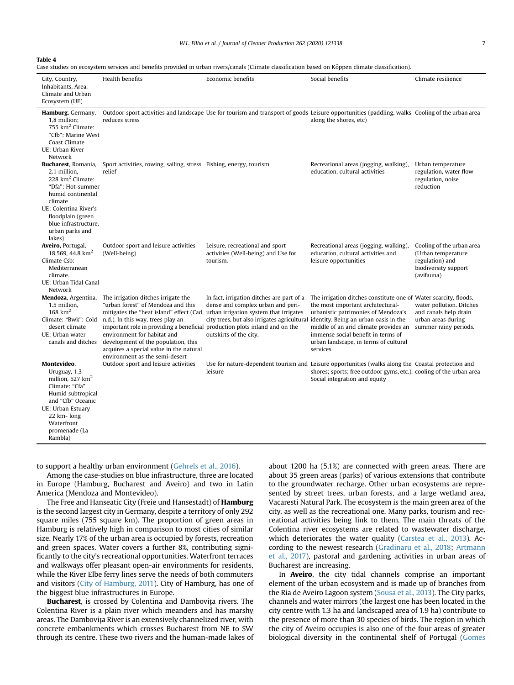# <span id="page-6-0"></span>Table 4

Case studies on ecosystem services and benefits provided in urban rivers/canals (Climate classification based on Köppen climate classification).

| City, Country,<br>Inhabitants, Area,<br>Climate and Urban                                                                                                                                  | Health benefits                                                                                                                                                                                                                                                                                                                                                                                                                     | Economic benefits                                                                                                                                       | Social benefits                                                                                                                                                                                                                                                                                                           | Climate resilience                                                                                       |
|--------------------------------------------------------------------------------------------------------------------------------------------------------------------------------------------|-------------------------------------------------------------------------------------------------------------------------------------------------------------------------------------------------------------------------------------------------------------------------------------------------------------------------------------------------------------------------------------------------------------------------------------|---------------------------------------------------------------------------------------------------------------------------------------------------------|---------------------------------------------------------------------------------------------------------------------------------------------------------------------------------------------------------------------------------------------------------------------------------------------------------------------------|----------------------------------------------------------------------------------------------------------|
| Ecosystem (UE)                                                                                                                                                                             |                                                                                                                                                                                                                                                                                                                                                                                                                                     |                                                                                                                                                         |                                                                                                                                                                                                                                                                                                                           |                                                                                                          |
| Hamburg, Germany,<br>1.8 million:<br>755 km <sup>2</sup> Climate:<br>"Cfb": Marine West<br>Coast Climate<br>UE: Urban River                                                                | reduces stress                                                                                                                                                                                                                                                                                                                                                                                                                      | Outdoor sport activities and landscape Use for tourism and transport of goods Leisure opportunities (paddling, walks Cooling of the urban area          | along the shores, etc)                                                                                                                                                                                                                                                                                                    |                                                                                                          |
| Network                                                                                                                                                                                    |                                                                                                                                                                                                                                                                                                                                                                                                                                     |                                                                                                                                                         |                                                                                                                                                                                                                                                                                                                           |                                                                                                          |
| Bucharest, Romania,<br>2.1 million,<br>$228 \text{ km}^2$ Climate:<br>"Dfa": Hot-summer<br>humid continental<br>climate                                                                    | Sport activities, rowing, sailing, stress Fishing, energy, tourism<br>relief                                                                                                                                                                                                                                                                                                                                                        |                                                                                                                                                         | Recreational areas (jogging, walking),<br>education, cultural activities                                                                                                                                                                                                                                                  | Urban temperature<br>regulation, water flow<br>regulation, noise<br>reduction                            |
| UE: Colentina River's<br>floodplain (green<br>blue infrastructure,<br>urban parks and<br>lakes)                                                                                            |                                                                                                                                                                                                                                                                                                                                                                                                                                     |                                                                                                                                                         |                                                                                                                                                                                                                                                                                                                           |                                                                                                          |
| Aveiro, Portugal,<br>18,569, 44.8 km <sup>2</sup><br>Climate Csb:<br>Mediterranean<br>climate.                                                                                             | Outdoor sport and leisure activities<br>(Well-being)                                                                                                                                                                                                                                                                                                                                                                                | Leisure, recreational and sport<br>activities (Well-being) and Use for<br>tourism.                                                                      | Recreational areas (jogging, walking),<br>education, cultural activities and<br>leisure opportunities                                                                                                                                                                                                                     | Cooling of the urban area<br>(Urban temperature<br>regulation) and<br>biodiversity support<br>(avifauna) |
| UE: Urban Tidal Canal                                                                                                                                                                      |                                                                                                                                                                                                                                                                                                                                                                                                                                     |                                                                                                                                                         |                                                                                                                                                                                                                                                                                                                           |                                                                                                          |
| Network                                                                                                                                                                                    |                                                                                                                                                                                                                                                                                                                                                                                                                                     |                                                                                                                                                         |                                                                                                                                                                                                                                                                                                                           |                                                                                                          |
| Mendoza, Argentina,<br>1.5 million.<br>168 $km2$<br>Climate: "Bwk": Cold<br>desert climate<br>UE: Urban water<br>canals and ditches                                                        | The irrigation ditches irrigate the<br>"urban forest" of Mendoza and this<br>mitigates the "heat island" effect (Cad, urban irrigation system that irrigates<br>n.d.). In this way, trees play an<br>important role in providing a beneficial production plots inland and on the<br>environment for habitat and<br>development of the population, this<br>acquires a special value in the natural<br>environment as the semi-desert | In fact, irrigation ditches are part of a<br>dense and complex urban and peri-<br>city trees, but also irrigates agricultural<br>outskirts of the city. | The irrigation ditches constitute one of Water scarcity, floods,<br>the most important architectural-<br>urbanistic patrimonies of Mendoza's<br>identity. Being an urban oasis in the<br>middle of an arid climate provides an<br>immense social benefit in terms of<br>urban landscape, in terms of cultural<br>services | water pollution. Ditches<br>and canals help drain<br>urban areas during<br>summer rainy periods.         |
| Montevideo,<br>Uruguay, 1.3<br>million, 527 $km2$<br>Climate: "Cfa"<br>Humid subtropical<br>and "Cfb" Oceanic<br>UE: Urban Estuary<br>22 km-long<br>Waterfront<br>promenade (La<br>Rambla) | Outdoor sport and leisure activities                                                                                                                                                                                                                                                                                                                                                                                                | leisure                                                                                                                                                 | Use for nature-dependent tourism and Leisure opportunities (walks along the Coastal protection and<br>shores; sports; free outdoor gyms, etc.). cooling of the urban area<br>Social integration and equity                                                                                                                |                                                                                                          |

to support a healthy urban environment [\(Gehrels et al., 2016](#page-12-37)).

Among the case-studies on blue infrastructure, three are located in Europe (Hamburg, Bucharest and Aveiro) and two in Latin America (Mendoza and Montevideo).

The Free and Hanseatic City (Freie und Hansestadt) of Hamburg is the second largest city in Germany, despite a territory of only 292 square miles (755 square km). The proportion of green areas in Hamburg is relatively high in comparison to most cities of similar size. Nearly 17% of the urban area is occupied by forests, recreation and green spaces. Water covers a further 8%, contributing significantly to the city's recreational opportunities. Waterfront terraces and walkways offer pleasant open-air environments for residents, while the River Elbe ferry lines serve the needs of both commuters and visitors ([City of Hamburg, 2011](#page-11-24)). City of Hamburg, has one of the biggest blue infrastructures in Europe.

Bucharest, is crossed by Colentina and Dambovița rivers. The Colentina River is a plain river which meanders and has marshy areas. The Dambovița River is an extensively channelized river, with concrete embankments which crosses Bucharest from NE to SW through its centre. These two rivers and the human-made lakes of about 1200 ha (5.1%) are connected with green areas. There are about 35 green areas (parks) of various extensions that contribute to the groundwater recharge. Other urban ecosystems are represented by street trees, urban forests, and a large wetland area, Vacaresti Natural Park. The ecosystem is the main green area of the city, as well as the recreational one. Many parks, tourism and recreational activities being link to them. The main threats of the Colentina river ecosystems are related to wastewater discharge, which deteriorates the water quality [\(Carstea et al., 2013\)](#page-11-25). According to the newest research ([Gradinaru et al., 2018;](#page-12-38) [Artmann](#page-11-26) [et al., 2017\)](#page-11-26), pastoral and gardening activities in urban areas of Bucharest are increasing.

In **Aveiro**, the city tidal channels comprise an important element of the urban ecosystem and is made up of branches from the Ria de Aveiro Lagoon system [\(Sousa et al., 2013\)](#page-12-39). The City parks, channels and water mirrors (the largest one has been located in the city centre with 1.3 ha and landscaped area of 1.9 ha) contribute to the presence of more than 30 species of birds. The region in which the city of Aveiro occupies is also one of the four areas of greater biological diversity in the continental shelf of Portugal ([Gomes](#page-12-40)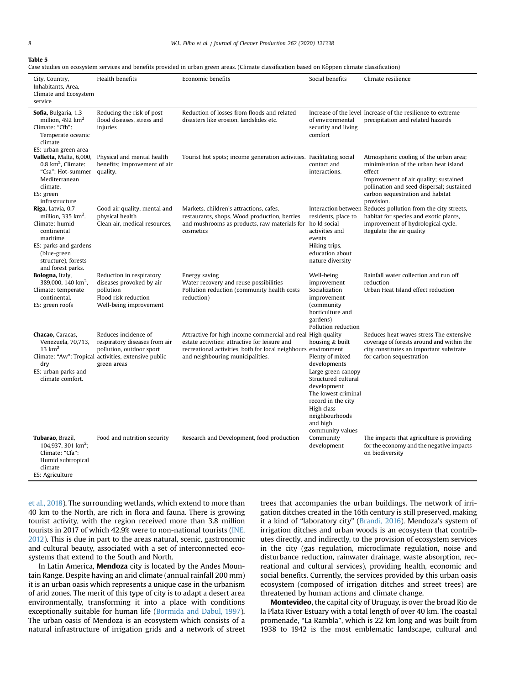#### <span id="page-7-0"></span>Table 5

Case studies on ecosystem services and benefits provided in urban green areas. (Climate classification based on Köppen climate classification)

| City, Country,<br>Inhabitants, Area,<br>Climate and Ecosystem<br>service                                                                                                            | Health benefits                                                                                                                                          | Economic benefits                                                                                                                                                                                                  | Social benefits                                                                                                                                                                                                             | Climate resilience                                                                                                                                                                                                                |
|-------------------------------------------------------------------------------------------------------------------------------------------------------------------------------------|----------------------------------------------------------------------------------------------------------------------------------------------------------|--------------------------------------------------------------------------------------------------------------------------------------------------------------------------------------------------------------------|-----------------------------------------------------------------------------------------------------------------------------------------------------------------------------------------------------------------------------|-----------------------------------------------------------------------------------------------------------------------------------------------------------------------------------------------------------------------------------|
| Sofia, Bulgaria, 1.3<br>million, 492 $km^2$<br>Climate: "Cfb":<br>Temperate oceanic<br>climate<br>ES: urban green area                                                              | Reducing the risk of post $-$<br>flood diseases, stress and<br>injuries                                                                                  | Reduction of losses from floods and related<br>disasters like erosion, landslides etc.                                                                                                                             | of environmental<br>security and living<br>comfort                                                                                                                                                                          | Increase of the level Increase of the resilience to extreme<br>precipitation and related hazards                                                                                                                                  |
| Valletta, Malta, 6,000,<br>$0.8 \text{ km}^2$ , Climate:<br>"Csa": Hot-summer<br>Mediterranean<br>climate.<br>ES: green<br>infrastructure                                           | Physical and mental health<br>benefits; improvement of air<br>quality.                                                                                   | Tourist hot spots; income generation activities. Facilitating social                                                                                                                                               | contact and<br>interactions.                                                                                                                                                                                                | Atmospheric cooling of the urban area;<br>minimisation of the urban heat island<br>effect<br>Improvement of air quality; sustained<br>pollination and seed dispersal; sustained<br>carbon sequestration and habitat<br>provision. |
| Riga, Latvia, 0.7<br>million, $335 \text{ km}^2$ .<br>Climate: humid<br>continental<br>maritime<br>ES: parks and gardens<br>(blue-green<br>structure), forests<br>and forest parks. | Good air quality, mental and<br>physical health<br>Clean air, medical resources,                                                                         | Markets, children's attractions, cafes,<br>restaurants, shops. Wood production, berries<br>and mushrooms as products, raw materials for hold social<br>cosmetics                                                   | residents, place to<br>activities and<br>events<br>Hiking trips,<br>education about<br>nature diversity                                                                                                                     | Interaction between Reduces pollution from the city streets,<br>habitat for species and exotic plants,<br>improvement of hydrological cycle.<br>Regulate the air quality                                                          |
| Bologna, Italy,<br>389,000, 140 km <sup>2</sup> ,<br>Climate: temperate<br>continental.<br>ES: green roofs                                                                          | Reduction in respiratory<br>diseases provoked by air<br>pollution<br>Flood risk reduction<br>Well-being improvement                                      | Energy saving<br>Water recovery and reuse possibilities<br>Pollution reduction (community health costs<br>reduction)                                                                                               | Well-being<br>improvement<br>Socialization<br>improvement<br>(community<br>horticulture and<br>gardens)<br>Pollution reduction                                                                                              | Rainfall water collection and run off<br>reduction<br>Urban Heat Island effect reduction                                                                                                                                          |
| Chacao, Caracas,<br>Venezuela, 70,713,<br>13 $km2$<br>dry<br>ES: urban parks and<br>climate comfort.                                                                                | Reduces incidence of<br>respiratory diseases from air<br>pollution, outdoor sport<br>Climate: "Aw": Tropical activities, extensive public<br>green areas | Attractive for high income commercial and real High quality<br>estate activities; attractive for leisure and<br>recreational activities, both for local neighbours environment<br>and neighbouring municipalities. | housing & built<br>Plenty of mixed<br>developments<br>Large green canopy<br>Structured cultural<br>development<br>The lowest criminal<br>record in the city<br>High class<br>neighbourhoods<br>and high<br>community values | Reduces heat waves stress The extensive<br>coverage of forests around and within the<br>city constitutes an important substrate<br>for carbon sequestration                                                                       |
| <b>Tubarão, Brazil,</b><br>104,937, 301 km <sup>2</sup> ;<br>Climate: "Cfa":<br>Humid subtropical<br>climate<br>ES: Agriculture                                                     | Food and nutrition security                                                                                                                              | Research and Development, food production                                                                                                                                                                          | Community<br>development                                                                                                                                                                                                    | The impacts that agriculture is providing<br>for the economy and the negative impacts<br>on biodiversity                                                                                                                          |

[et al., 2018\)](#page-12-40). The surrounding wetlands, which extend to more than 40 km to the North, are rich in flora and fauna. There is growing tourist activity, with the region received more than 3.8 million tourists in 2017 of which 42.9% were to non-national tourists ([INE,](#page-12-41) [2012](#page-12-41)). This is due in part to the areas natural, scenic, gastronomic and cultural beauty, associated with a set of interconnected ecosystems that extend to the South and North.

In Latin America, Mendoza city is located by the Andes Mountain Range. Despite having an arid climate (annual rainfall 200 mm) it is an urban oasis which represents a unique case in the urbanism of arid zones. The merit of this type of city is to adapt a desert area environmentally, transforming it into a place with conditions exceptionally suitable for human life [\(Bormida and Dabul, 1997\)](#page-11-27). The urban oasis of Mendoza is an ecosystem which consists of a natural infrastructure of irrigation grids and a network of street trees that accompanies the urban buildings. The network of irrigation ditches created in the 16th century is still preserved, making it a kind of "laboratory city" ([Brandi, 2016\)](#page-11-28). Mendoza's system of irrigation ditches and urban woods is an ecosystem that contributes directly, and indirectly, to the provision of ecosystem services in the city (gas regulation, microclimate regulation, noise and disturbance reduction, rainwater drainage, waste absorption, recreational and cultural services), providing health, economic and social benefits. Currently, the services provided by this urban oasis ecosystem (composed of irrigation ditches and street trees) are threatened by human actions and climate change.

Montevideo, the capital city of Uruguay, is over the broad Rio de la Plata River Estuary with a total length of over 40 km. The coastal promenade, "La Rambla", which is 22 km long and was built from 1938 to 1942 is the most emblematic landscape, cultural and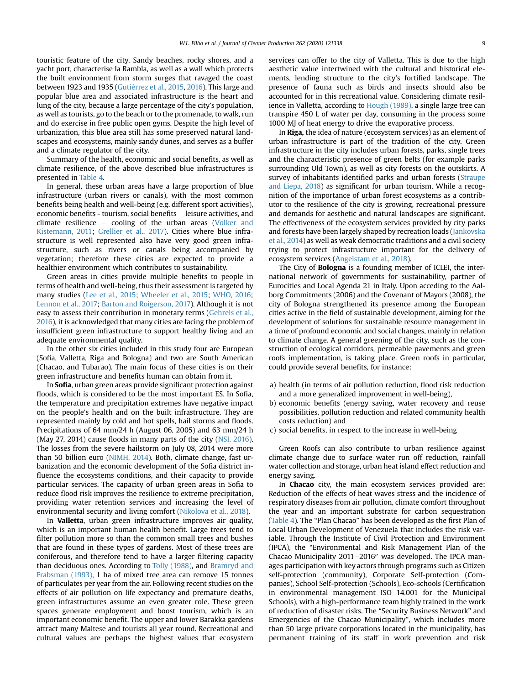touristic feature of the city. Sandy beaches, rocky shores, and a yacht port, characterise la Rambla, as well as a wall which protects the built environment from storm surges that ravaged the coast between 1923 and 1935 [\(Guti](#page-12-42)é[rrez et al., 2015](#page-12-42), [2016\)](#page-12-43). This large and popular blue area and associated infrastructure is the heart and lung of the city, because a large percentage of the city's population, as well as tourists, go to the beach or to the promenade, to walk, run and do exercise in free public open gyms. Despite the high level of urbanization, this blue area still has some preserved natural landscapes and ecosystems, mainly sandy dunes, and serves as a buffer and a climate regulator of the city.

Summary of the health, economic and social benefits, as well as climate resilience, of the above described blue infrastructures is presented in [Table 4](#page-6-0).

In general, these urban areas have a large proportion of blue infrastructure (urban rivers or canals), with the most common benefits being health and well-being (e.g. different sport activities), economic benefits - tourism, social benefits - leisure activities, and climate resilience  $-$  cooling of the urban areas (Völker and [Kistemann, 2011;](#page-13-8) [Grellier et al., 2017](#page-12-44)). Cities where blue infrastructure is well represented also have very good green infrastructure, such as rivers or canals being accompanied by vegetation; therefore these cities are expected to provide a healthier environment which contributes to sustainability.

Green areas in cities provide multiple benefits to people in terms of health and well-being, thus their assessment is targeted by many studies ([Lee et al., 2015](#page-12-45); [Wheeler et al., 2015;](#page-13-9) [WHO, 2016;](#page-13-10) [Lennon et al., 2017;](#page-12-46) [Barton and Roigerson, 2017\)](#page-11-29). Although it is not easy to assess their contribution in monetary terms [\(Gehrels et al.,](#page-12-37) [2016\)](#page-12-37), it is acknowledged that many cities are facing the problem of insufficient green infrastructure to support healthy living and an adequate environmental quality.

In the other six cities included in this study four are European (Sofia, Valletta, Riga and Bologna) and two are South American (Chacao, and Tubarao). The main focus of these cities is on their green infrastructure and benefits human can obtain from it.

In Sofia, urban green areas provide significant protection against floods, which is considered to be the most important ES. In Sofia, the temperature and precipitation extremes have negative impact on the people's health and on the built infrastructure. They are represented mainly by cold and hot spells, hail storms and floods. Precipitations of 64 mm/24 h (August 06, 2005) and 63 mm/24 h (May 27, 2014) cause floods in many parts of the city ([NSI, 2016\)](#page-12-47). The losses from the severe hailstorm on July 08, 2014 were more than 50 billion euro [\(NIMH, 2014\)](#page-12-48). Both, climate change, fast urbanization and the economic development of the Sofia district influence the ecosystems conditions, and their capacity to provide particular services. The capacity of urban green areas in Sofia to reduce flood risk improves the resilience to extreme precipitation, providing water retention services and increasing the level of environmental security and living comfort ([Nikolova et al., 2018](#page-12-49)).

In Valletta, urban green infrastructure improves air quality, which is an important human health benefit. Large trees tend to filter pollution more so than the common small trees and bushes that are found in these types of gardens. Most of these trees are coniferous, and therefore tend to have a larger filtering capacity than deciduous ones. According to [Tolly \(1988\)](#page-13-11), and [Bramryd and](#page-11-30) [Frabsman \(1993\),](#page-11-30) 1 ha of mixed tree area can remove 15 tonnes of particulates per year from the air. Following recent studies on the effects of air pollution on life expectancy and premature deaths, green infrastructures assume an even greater role. These green spaces generate employment and boost tourism, which is an important economic benefit. The upper and lower Barakka gardens attract many Maltese and tourists all year round. Recreational and cultural values are perhaps the highest values that ecosystem services can offer to the city of Valletta. This is due to the high aesthetic value intertwined with the cultural and historical elements, lending structure to the city's fortified landscape. The presence of fauna such as birds and insects should also be accounted for in this recreational value. Considering climate resilience in Valletta, according to [Hough \(1989\),](#page-12-50) a single large tree can transpire 450 L of water per day, consuming in the process some 1000 MJ of heat energy to drive the evaporative process.

In Riga, the idea of nature (ecosystem services) as an element of urban infrastructure is part of the tradition of the city. Green infrastructure in the city includes urban forests, parks, single trees and the characteristic presence of green belts (for example parks surrounding Old Town), as well as city forests on the outskirts. A survey of inhabitants identified parks and urban forests ([Straupe](#page-12-51) [and Liepa, 2018\)](#page-12-51) as significant for urban tourism. While a recognition of the importance of urban forest ecosystems as a contributor to the resilience of the city is growing, recreational pressure and demands for aesthetic and natural landscapes are significant. The effectiveness of the ecosystem services provided by city parks and forests have been largely shaped by recreation loads ([Jankovska](#page-12-52) [et al., 2014\)](#page-12-52) as well as weak democratic traditions and a civil society trying to protect infrastructure important for the delivery of ecosystem services ([Angelstam et al., 2018](#page-11-31)).

The City of **Bologna** is a founding member of ICLEI, the international network of governments for sustainability, partner of Eurocities and Local Agenda 21 in Italy. Upon acceding to the Aalborg Commitments (2006) and the Covenant of Mayors (2008), the city of Bologna strengthened its presence among the European cities active in the field of sustainable development, aiming for the development of solutions for sustainable resource management in a time of profound economic and social changes, mainly in relation to climate change. A general greening of the city, such as the construction of ecological corridors, permeable pavements and green roofs implementation, is taking place. Green roofs in particular, could provide several benefits, for instance:

- a) health (in terms of air pollution reduction, flood risk reduction and a more generalized improvement in well-being),
- b) economic benefits (energy saving, water recovery and reuse possibilities, pollution reduction and related community health costs reduction) and
- c) social benefits, in respect to the increase in well-being

Green Roofs can also contribute to urban resilience against climate change due to surface water run off reduction, rainfall water collection and storage, urban heat island effect reduction and energy saving.

In **Chacao** city, the main ecosystem services provided are: Reduction of the effects of heat waves stress and the incidence of respiratory diseases from air pollution, climate comfort throughout the year and an important substrate for carbon sequestration ([Table 4](#page-6-0)). The "Plan Chacao" has been developed as the first Plan of Local Urban Development of Venezuela that includes the risk variable. Through the Institute of Civil Protection and Environment (IPCA), the "Environmental and Risk Management Plan of the Chacao Municipality  $2011-2016$ " was developed. The IPCA manages participation with key actors through programs such as Citizen self-protection (community), Corporate Self-protection (Companies), School Self-protection (Schools), Eco-schools (Certification in environmental management ISO 14.001 for the Municipal Schools), with a high-performance team highly trained in the work of reduction of disaster risks. The "Security Business Network" and Emergencies of the Chacao Municipality", which includes more than 50 large private corporations located in the municipality, has permanent training of its staff in work prevention and risk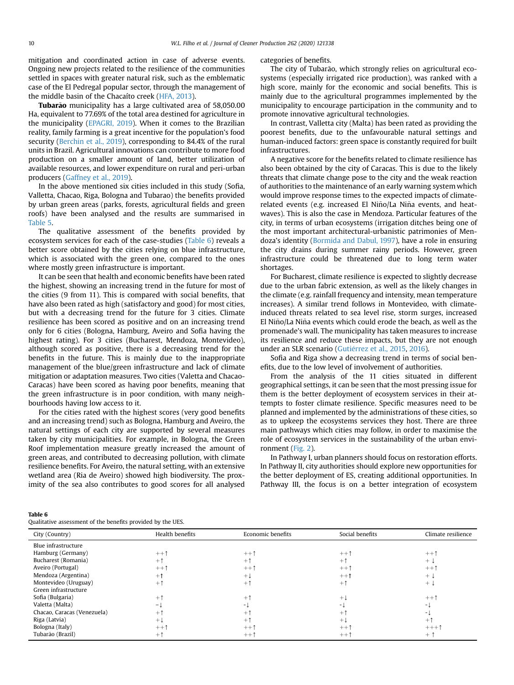mitigation and coordinated action in case of adverse events. Ongoing new projects related to the resilience of the communities settled in spaces with greater natural risk, such as the emblematic case of the El Pedregal popular sector, through the management of the middle basin of the Chacaíto creek [\(HFA, 2013](#page-12-53)).

Tubarão municipality has a large cultivated area of 58,050.00 Ha, equivalent to 77.69% of the total area destined for agriculture in the municipality ([EPAGRI, 2019\)](#page-12-54). When it comes to the Brazilian reality, family farming is a great incentive for the population's food security ([Berchin et al., 2019](#page-11-32)), corresponding to 84.4% of the rural units in Brazil. Agricultural innovations can contribute to more food production on a smaller amount of land, better utilization of available resources, and lower expenditure on rural and peri-urban producers [\(Gaffney et al., 2019](#page-12-55)).

In the above mentioned six cities included in this study (Sofia, Valletta, Chacao, Riga, Bologna and Tubarao) the benefits provided by urban green areas (parks, forests, agricultural fields and green roofs) have been analysed and the results are summarised in [Table 5.](#page-7-0)

The qualitative assessment of the benefits provided by ecosystem services for each of the case-studies ([Table 6\)](#page-9-0) reveals a better score obtained by the cities relying on blue infrastructure, which is associated with the green one, compared to the ones where mostly green infrastructure is important.

It can be seen that health and economic benefits have been rated the highest, showing an increasing trend in the future for most of the cities (9 from 11). This is compared with social benefits, that have also been rated as high (satisfactory and good) for most cities, but with a decreasing trend for the future for 3 cities. Climate resilience has been scored as positive and on an increasing trend only for 6 cities (Bologna, Hamburg, Aveiro and Sofia having the highest rating). For 3 cities (Bucharest, Mendoza, Montevideo), although scored as positive, there is a decreasing trend for the benefits in the future. This is mainly due to the inappropriate management of the blue/green infrastructure and lack of climate mitigation or adaptation measures. Two cities (Valetta and Chacao-Caracas) have been scored as having poor benefits, meaning that the green infrastructure is in poor condition, with many neighbourhoods having low access to it.

For the cities rated with the highest scores (very good benefits and an increasing trend) such as Bologna, Hamburg and Aveiro, the natural settings of each city are supported by several measures taken by city municipalities. For example, in Bologna, the Green Roof implementation measure greatly increased the amount of green areas, and contributed to decreasing pollution, with climate resilience benefits. For Aveiro, the natural setting, with an extensive wetland area (Ria de Aveiro) showed high biodiversity. The proximity of the sea also contributes to good scores for all analysed categories of benefits.

The city of Tubarão, which strongly relies on agricultural ecosystems (especially irrigated rice production), was ranked with a high score, mainly for the economic and social benefits. This is mainly due to the agricultural programmes implemented by the municipality to encourage participation in the community and to promote innovative agricultural technologies.

In contrast, Valletta city (Malta) has been rated as providing the poorest benefits, due to the unfavourable natural settings and human-induced factors: green space is constantly required for built infrastructures.

A negative score for the benefits related to climate resilience has also been obtained by the city of Caracas. This is due to the likely threats that climate change pose to the city and the weak reaction of authorities to the maintenance of an early warning system which would improve response times to the expected impacts of climaterelated events (e.g. increased El Niño/La Niña events, and heatwaves). This is also the case in Mendoza. Particular features of the city, in terms of urban ecosystems (irrigation ditches being one of the most important architectural-urbanistic patrimonies of Mendoza's identity ([Bormida and Dabul, 1997](#page-11-27)), have a role in ensuring the city drains during summer rainy periods. However, green infrastructure could be threatened due to long term water shortages.

For Bucharest, climate resilience is expected to slightly decrease due to the urban fabric extension, as well as the likely changes in the climate (e.g. rainfall frequency and intensity, mean temperature increases). A similar trend follows in Montevideo, with climateinduced threats related to sea level rise, storm surges, increased El Niño/La Niña events which could erode the beach, as well as the promenade's wall. The municipality has taken measures to increase its resilience and reduce these impacts, but they are not enough under an SLR scenario [\(Guti](#page-12-42)é[rrez et al., 2015](#page-12-42), [2016\)](#page-12-43).

Sofia and Riga show a decreasing trend in terms of social benefits, due to the low level of involvement of authorities.

From the analysis of the 11 cities situated in different geographical settings, it can be seen that the most pressing issue for them is the better deployment of ecosystem services in their attempts to foster climate resilience. Specific measures need to be planned and implemented by the administrations of these cities, so as to upkeep the ecosystems services they host. There are three main pathways which cities may follow, in order to maximise the role of ecosystem services in the sustainability of the urban environment [\(Fig. 2](#page-10-0)).

In Pathway I, urban planners should focus on restoration efforts. In Pathway II, city authorities should explore new opportunities for the better deployment of ES, creating additional opportunities. In Pathway III, the focus is on a better integration of ecosystem

<span id="page-9-0"></span>Table 6

Qualitative assessment of the benefits provided by the UES.

| City (Country)              | Health benefits | Economic benefits        | Social benefits | Climate resilience |
|-----------------------------|-----------------|--------------------------|-----------------|--------------------|
| Blue infrastructure         |                 |                          |                 |                    |
| Hamburg (Germany)           | $++1$           | $++1$                    | $++1$           | $++1$              |
| Bucharest (Romania)         | $+1$            | $+1$                     | $+1$            | $+$ .              |
| Aveiro (Portugal)           | $++1$           | $++1$                    | $++1$           | $++1$              |
| Mendoza (Argentina)         |                 | $+1$                     | $^{++1}$        | $+$                |
| Montevideo (Uruguay)        | $+1$            | $+1$                     | $+1$            | $+1$               |
| Green infrastructure        |                 |                          |                 |                    |
| Sofia (Bulgaria)            |                 | $+$ <sup>1</sup>         | $+1$            | $++1$              |
| Valetta (Malta)             | $\equiv$        | $\overline{\phantom{0}}$ | Ξ.              | - 1                |
| Chacao, Caracas (Venezuela) |                 | $+1$                     | $+1$            | -                  |
| Riga (Latvia)               |                 | $+1$                     | $+1$            | $+1$               |
| Bologna (Italy)             | $++1$           | $++1$                    | $++1$           | $+++1$             |
| Tubarão (Brazil)            | $+1$            | $++1$                    | $++1$           | $+$                |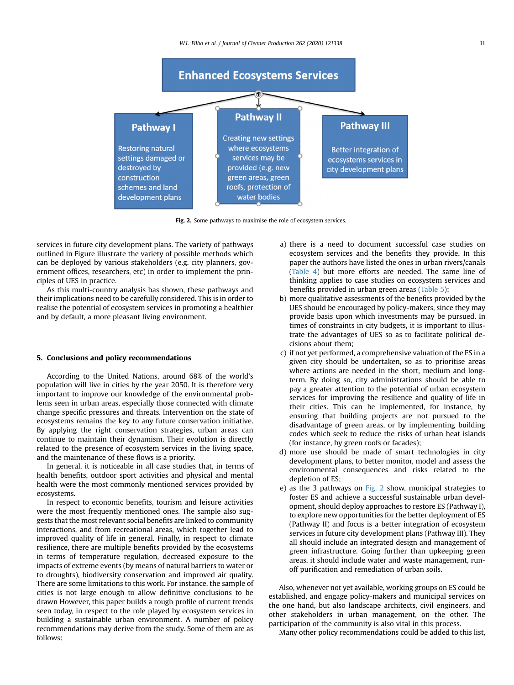<span id="page-10-0"></span>

Fig. 2. Some pathways to maximise the role of ecosystem services.

services in future city development plans. The variety of pathways outlined in Figure illustrate the variety of possible methods which can be deployed by various stakeholders (e.g. city planners, government offices, researchers, etc) in order to implement the principles of UES in practice.

As this multi-country analysis has shown, these pathways and their implications need to be carefully considered. This is in order to realise the potential of ecosystem services in promoting a healthier and by default, a more pleasant living environment.

# 5. Conclusions and policy recommendations

According to the United Nations, around 68% of the world's population will live in cities by the year 2050. It is therefore very important to improve our knowledge of the environmental problems seen in urban areas, especially those connected with climate change specific pressures and threats. Intervention on the state of ecosystems remains the key to any future conservation initiative. By applying the right conservation strategies, urban areas can continue to maintain their dynamism. Their evolution is directly related to the presence of ecosystem services in the living space, and the maintenance of these flows is a priority.

In general, it is noticeable in all case studies that, in terms of health benefits, outdoor sport activities and physical and mental health were the most commonly mentioned services provided by ecosystems.

In respect to economic benefits, tourism and leisure activities were the most frequently mentioned ones. The sample also suggests that the most relevant social benefits are linked to community interactions, and from recreational areas, which together lead to improved quality of life in general. Finally, in respect to climate resilience, there are multiple benefits provided by the ecosystems in terms of temperature regulation, decreased exposure to the impacts of extreme events (by means of natural barriers to water or to droughts), biodiversity conservation and improved air quality. There are some limitations to this work. For instance, the sample of cities is not large enough to allow definitive conclusions to be drawn However, this paper builds a rough profile of current trends seen today, in respect to the role played by ecosystem services in building a sustainable urban environment. A number of policy recommendations may derive from the study. Some of them are as follows:

- a) there is a need to document successful case studies on ecosystem services and the benefits they provide. In this paper the authors have listed the ones in urban rivers/canals [\(Table 4](#page-6-0)) but more efforts are needed. The same line of thinking applies to case studies on ecosystem services and benefits provided in urban green areas ([Table 5\)](#page-7-0);
- b) more qualitative assessments of the benefits provided by the UES should be encouraged by policy-makers, since they may provide basis upon which investments may be pursued. In times of constraints in city budgets, it is important to illustrate the advantages of UES so as to facilitate political decisions about them;
- c) if not yet performed, a comprehensive valuation of the ES in a given city should be undertaken, so as to prioritise areas where actions are needed in the short, medium and longterm. By doing so, city administrations should be able to pay a greater attention to the potential of urban ecosystem services for improving the resilience and quality of life in their cities. This can be implemented, for instance, by ensuring that building projects are not pursued to the disadvantage of green areas, or by implementing building codes which seek to reduce the risks of urban heat islands (for instance, by green roofs or facades);
- d) more use should be made of smart technologies in city development plans, to better monitor, model and assess the environmental consequences and risks related to the depletion of ES;
- e) as the 3 pathways on [Fig. 2](#page-10-0) show, municipal strategies to foster ES and achieve a successful sustainable urban development, should deploy approaches to restore ES (Pathway I), to explore new opportunities for the better deployment of ES (Pathway II) and focus is a better integration of ecosystem services in future city development plans (Pathway III). They all should include an integrated design and management of green infrastructure. Going further than upkeeping green areas, it should include water and waste management, runoff purification and remediation of urban soils.

Also, whenever not yet available, working groups on ES could be established, and engage policy-makers and municipal services on the one hand, but also landscape architects, civil engineers, and other stakeholders in urban management, on the other. The participation of the community is also vital in this process.

Many other policy recommendations could be added to this list,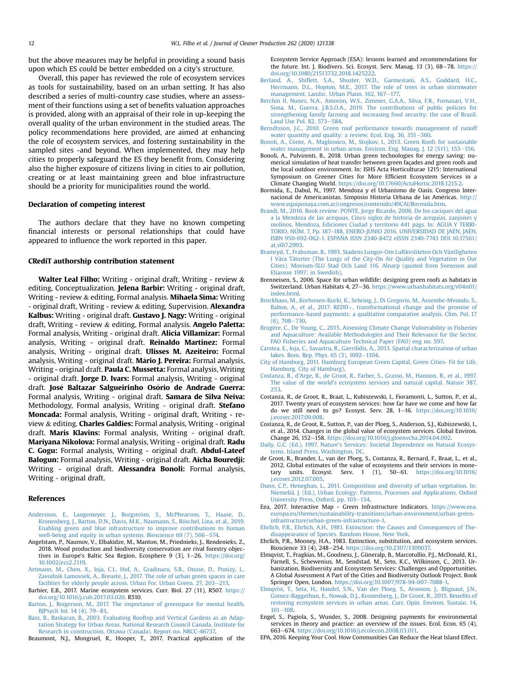but the above measures may be helpful in providing a sound basis upon which ES could be better embedded on a city's structure.

Overall, this paper has reviewed the role of ecosystem services as tools for sustainability, based on an urban setting. It has also described a series of multi-country case studies, where an assessment of their functions using a set of benefits valuation approaches is provided, along with an appraisal of their role in up-keeping the overall quality of the urban environment in the studied areas. The policy recommendations here provided, are aimed at enhancing the role of ecosystem services, and fostering sustainability in the sampled sites -and beyond. When implemented, they may help cities to properly safeguard the ES they benefit from. Considering also the higher exposure of citizens living in cities to air pollution, creating or at least maintaining green and blue infrastructure should be a priority for municipalities round the world.

# Declaration of competing interest

The authors declare that they have no known competing financial interests or personal relationships that could have appeared to influence the work reported in this paper.

# CRediT authorship contribution statement

Walter Leal Filho: Writing - original draft, Writing - review & editing, Conceptualization. Jelena Barbir: Writing - original draft, Writing - review & editing, Formal analysis. **Mihaela Sima:** Writing - original draft, Writing - review & editing, Supervision. Alexandra Kalbus: Writing - original draft. Gustavo J. Nagy: Writing - original draft, Writing - review & editing, Formal analysis. Angelo Paletta: Formal analysis, Writing - original draft. Alicia Villamizar: Formal analysis, Writing - original draft. Reinaldo Martinez: Formal analysis, Writing - original draft. Ulisses M. Azeiteiro: Formal analysis, Writing - original draft. Mário J. Pereira: Formal analysis, Writing - original draft. Paula C. Mussetta: Formal analysis, Writing - original draft. Jorge D. Ivars: Formal analysis, Writing - original draft. José Baltazar Salgueirinho Osório de Andrade Guerra: Formal analysis, Writing - original draft. Samara de Silva Neiva: Methodology, Formal analysis, Writing - original draft. Stefano Moncada: Formal analysis, Writing - original draft, Writing - review & editing. Charles Galdies: Formal analysis, Writing - original draft. Maris Klavins: Formal analysis, Writing - original draft. Mariyana Nikolova: Formal analysis, Writing - original draft. Radu C. Gogu: Formal analysis, Writing - original draft. Abdul-Lateef Balogun: Formal analysis, Writing - original draft. Aicha Bouredji: Writing - original draft. **Alessandra Bonoli:** Formal analysis, Writing - original draft.

### References

- <span id="page-11-11"></span>Andersson, E., Langemeyer, J., Borgström, S., McPhearson, T., Haase, D., Kronenberg, J., Barton, D.N., Davis, M.K., Naumann, S., Röschel, Lina, et al., 2019. [Enabling green and blue infrastructure to improve contributions to human](http://refhub.elsevier.com/S0959-6526(20)31385-8/sref3) [well-being and equity in urban systems. Bioscience 69 \(7\), 566](http://refhub.elsevier.com/S0959-6526(20)31385-8/sref3)–[574](http://refhub.elsevier.com/S0959-6526(20)31385-8/sref3).
- <span id="page-11-31"></span>Angelstam, P., Naumov, V., Elbakidze, M., Manton, M., Priednieks, J., Rendenieks, Z., 2018. Wood production and biodiversity conservation are rival forestry objectives in Europe's Baltic Sea Region. Ecosphere 9 (3),  $1-26$ . [https://doi.org/](https://doi.org/10.1002/ecs2.2119) [10.1002/ecs2.2119.](https://doi.org/10.1002/ecs2.2119)
- <span id="page-11-26"></span>[Artmann, M., Chen, X., Ioja, C.I., Hof, A., Gradinaru, S.R., Onose, D., Ponizy, L.,](http://refhub.elsevier.com/S0959-6526(20)31385-8/sref5) [Zavodnik Lamovsek, A., Breuste, J., 2017. The role of urban green spaces in care](http://refhub.elsevier.com/S0959-6526(20)31385-8/sref5) [facilities for elderly people across. Urban For. Urban Green. 27, 203](http://refhub.elsevier.com/S0959-6526(20)31385-8/sref5)-[213.](http://refhub.elsevier.com/S0959-6526(20)31385-8/sref5)
- <span id="page-11-6"></span>Barbier, E.B., 2017. Marine ecosystem services. Curr. Biol. 27 (11), R507. [https://](https://doi.org/10.1016/j.cub.2017.03.020) [doi.org/10.1016/j.cub.2017.03.020.](https://doi.org/10.1016/j.cub.2017.03.020) R510.
- <span id="page-11-29"></span>[Barton, J., Roigerson, M., 2017. The importance of greenspace for mental health.](http://refhub.elsevier.com/S0959-6526(20)31385-8/sref7) [BJPsych Int. 14 \(4\), 79](http://refhub.elsevier.com/S0959-6526(20)31385-8/sref7)-[81.](http://refhub.elsevier.com/S0959-6526(20)31385-8/sref7)
- <span id="page-11-19"></span>[Bass, B., Baskaran, B., 2003. Evaluating Rooftop and Vertical Gardens as an Adap](http://refhub.elsevier.com/S0959-6526(20)31385-8/sref8)[tation Strategy for Urban Areas. National Research Council Canada, Institute for](http://refhub.elsevier.com/S0959-6526(20)31385-8/sref8) [Research in construction, Ottawa \(Canada\). Report no. NRCC-46737.](http://refhub.elsevier.com/S0959-6526(20)31385-8/sref8)

<span id="page-11-8"></span>Beaumont, N.J., Mongruel, R., Hooper, T., 2017. Practical application of the

Ecosystem Service Approach (ESA): lessons learned and recommendations for the future. Int. J. Biodivers. Sci. Ecosyst. Serv. Manag. 13 (3), 68-78. [https://](https://doi.org/10.1080/21513732.2018.1425222) [doi.org/10.1080/21513732.2018.1425222](https://doi.org/10.1080/21513732.2018.1425222).

- <span id="page-11-20"></span>Berland, A., Shifl[ett, S.A., Shuster, W.D., Garmestani, A.S., Goddard, H.C.,](http://refhub.elsevier.com/S0959-6526(20)31385-8/sref11) [Herrmann, D.L., Hopton, M.E., 2017. The role of trees in urban stormwater](http://refhub.elsevier.com/S0959-6526(20)31385-8/sref11) [management. Landsc. Urban Plann. 162, 167](http://refhub.elsevier.com/S0959-6526(20)31385-8/sref11)-[177.](http://refhub.elsevier.com/S0959-6526(20)31385-8/sref11)
- <span id="page-11-32"></span>[Berchin II, Nunes, N.A., Amorim, W.S., Zimmer, G.A.A., Silva, F.R., Fornasari, V.H.,](http://refhub.elsevier.com/S0959-6526(20)31385-8/sref12) [Sima, M., Guerra, J.B.S.O.A., 2019. The contributions of public policies for](http://refhub.elsevier.com/S0959-6526(20)31385-8/sref12) [strengthening family farming and increasing food security: the case of Brazil.](http://refhub.elsevier.com/S0959-6526(20)31385-8/sref12) Land Use Pol. 82,  $573 - 584$ .
- <span id="page-11-16"></span>[Berndtsson, J.C., 2010. Green roof performance towards management of runoff](http://refhub.elsevier.com/S0959-6526(20)31385-8/sref13) water quantity and quality: a review. Ecol. Eng.  $36, 351-360$ .
- <span id="page-11-15"></span>[Bonoli, A., Conte, A., Maglionico, M., Stojkov, I., 2013. Green Roofs for sustainable](http://refhub.elsevier.com/S0959-6526(20)31385-8/sref16) [water management in urban areas. Environ. Eng. Manag. J. 12 \(S11\), 153](http://refhub.elsevier.com/S0959-6526(20)31385-8/sref16)-[156](http://refhub.elsevier.com/S0959-6526(20)31385-8/sref16).
- <span id="page-11-12"></span>Bonoli, A., Pulvirenti, B., 2018. Urban green technologies for energy saving: numerical simulation of heat transfer between green façades and green roofs and the local outdoor environment. In: ISHS Acta Horticulturae 1215: International Symposium on Greener Cities for More Efficient Ecosystem Services in a Climate Changing World. <https://doi.org/10.17660/ActaHortic.2018.1215.2>.
- <span id="page-11-27"></span>Bormida, E., Dabul, N., 1997. Mendoza y el Urbanismo de Oasis. Congreso Internacional de Americanistas. Simposio Historia Urbana de las Américas. [http://](http://www.equiponaya.com.ar/congresos/contenido/49CAI/Bormida.htm) [www.equiponaya.com.ar/congresos/contenido/49CAI/Bormida.htm.](http://www.equiponaya.com.ar/congresos/contenido/49CAI/Bormida.htm)
- <span id="page-11-28"></span>[Brandi, M., 2016. Book review: PONTE, Jorge Ricardo, 2006. De los caciques del agua](http://refhub.elsevier.com/S0959-6526(20)31385-8/sref19) [a la Mendoza de las acequias. Cinco siglos de historia de acequias, zanjones y](http://refhub.elsevier.com/S0959-6526(20)31385-8/sref19) [molinos, Mendoza, Ediciones Ciudad y territorio 441 p](http://refhub.elsevier.com/S0959-6526(20)31385-8/sref19) [ags. In: AGUA Y TERRI-](http://refhub.elsevier.com/S0959-6526(20)31385-8/sref19)[TORIO, NÚM. 7, Pp. 187-188, ENERO-JUNIO 2016. UNIVERSIDAD DE JA](http://refhub.elsevier.com/S0959-6526(20)31385-8/sref19) [EN, JA](http://refhub.elsevier.com/S0959-6526(20)31385-8/sref19) E[N,](http://refhub.elsevier.com/S0959-6526(20)31385-8/sref19) [ISBN 950-692-062-1. ESPANA ISSN 2340-8472 eISSN 2340-7743 DOI 10.17561/](http://refhub.elsevier.com/S0959-6526(20)31385-8/sref19) ~ [at.v0i7.2993](http://refhub.elsevier.com/S0959-6526(20)31385-8/sref19).
- <span id="page-11-30"></span>Bramryd, T., Frabsman, B., 1993. Stadens Lungor-Om Luftkvsliteten Och Växtligheten [I Våra T](http://refhub.elsevier.com/S0959-6526(20)31385-8/sref20)ätorter (The Lungs of the City-On Air Quality and Vegetation in Our [Cities\). Movium-SLU Stad Och Land 116. Alnarp \(quoted from Svensson and](http://refhub.elsevier.com/S0959-6526(20)31385-8/sref20) [Eliasson 1997; in Swedish\)](http://refhub.elsevier.com/S0959-6526(20)31385-8/sref20).
- <span id="page-11-18"></span>Brenneisen, S., 2006. Space for urban wildlife: designing green roofs as habitats in Switzerland. Urban Habitats 4, 27-36. [https://www.urbanhabitats.org/v04n01/](https://www.urbanhabitats.org/v04n01/index.html) [index.html.](https://www.urbanhabitats.org/v04n01/index.html)
- <span id="page-11-22"></span>[Brockhaus, M., Korhonen-Kurki, K., Sehring, J., Di Gregorio, M., Assembe-Mvondo, S.,](http://refhub.elsevier.com/S0959-6526(20)31385-8/sref22) [Babon, A., et al., 2017. REDD](http://refhub.elsevier.com/S0959-6526(20)31385-8/sref22)+[, transformational change and the promise of](http://refhub.elsevier.com/S0959-6526(20)31385-8/sref22) [performance-based payments: a qualitative comparative analysis. Clim. Pol. 17](http://refhub.elsevier.com/S0959-6526(20)31385-8/sref22)  $(6)$ , 708 $-730$ .
- <span id="page-11-21"></span>Brugère, C., De Young, C., 2015. Assessing Climate Change Vulnerability in Fisheries [and Aquaculture: Available Methodologies and Their Relevance for the Sector.](http://refhub.elsevier.com/S0959-6526(20)31385-8/sref23) [FAO Fisheries and Aquaculture Technical Paper \(FAO\) eng no. 597.](http://refhub.elsevier.com/S0959-6526(20)31385-8/sref23)
- <span id="page-11-25"></span>[Carstea, E., Ioja, C., Savastru, R., Gavrilidis, A., 2013. Spatial characterization of urban](http://refhub.elsevier.com/S0959-6526(20)31385-8/sref24) [lakes. Rom. Rep. Phys. 65 \(3\), 1092](http://refhub.elsevier.com/S0959-6526(20)31385-8/sref24)-[1104](http://refhub.elsevier.com/S0959-6526(20)31385-8/sref24).
- <span id="page-11-24"></span>[City of Hamburg, 2011. Hamburg European Green Capital. Green Cities- Fit for Life.](http://refhub.elsevier.com/S0959-6526(20)31385-8/sref26) [Hamburg, City of Hamburg\).](http://refhub.elsevier.com/S0959-6526(20)31385-8/sref26)
- <span id="page-11-3"></span>Costanza, R., d'[Arge, R., de Groot, R., Farber, S., Grasso, M., Hannon, B., et al., 1997.](http://refhub.elsevier.com/S0959-6526(20)31385-8/sref27) The value of the world'[s ecosystem services and natural capital. Nature 387,](http://refhub.elsevier.com/S0959-6526(20)31385-8/sref27) [253](http://refhub.elsevier.com/S0959-6526(20)31385-8/sref27).
- <span id="page-11-7"></span>Costanza, R., de Groot, R., Braat, L., Kubiszewski, I., Fioramonti, L., Sutton, P., et al., 2017. Twenty years of ecosystem services: how far have we come and how far do we still need to go? Ecosyst. Serv. 28, 1-16. [https://doi.org/10.1016/](https://doi.org/10.1016/j.ecoser.2017.09.008) [j.ecoser.2017.09.008.](https://doi.org/10.1016/j.ecoser.2017.09.008)
- <span id="page-11-5"></span>Costanza, R., de Groot, R., Sutton, P., van der Ploeg, S., Anderson, S.J., Kubiszewski, I., et al., 2014. Changes in the global value of ecosystem services. Global Environ. Change 26, 152-158. [https://doi.org/10.1016/j.gloenvcha.2014.04.002.](https://doi.org/10.1016/j.gloenvcha.2014.04.002)
- <span id="page-11-2"></span>Daily, G.C. (Ed.), 1997. Nature'[s Services: Societal Dependence on Natural Ecosys](http://refhub.elsevier.com/S0959-6526(20)31385-8/sref30)[tems. Island Press, Washington, DC.](http://refhub.elsevier.com/S0959-6526(20)31385-8/sref30)
- <span id="page-11-4"></span>de Groot, R., Brander, L., van der Ploeg, S., Costanza, R., Bernard, F., Braat, L., et al., 2012. Global estimates of the value of ecosystems and their services in monetary units. Ecosyst. Serv. 1  $(1)$ , 50-61. [https://doi.org/10.1016/](https://doi.org/10.1016/j.ecoser.2012.07.005) [j.ecoser.2012.07.005](https://doi.org/10.1016/j.ecoser.2012.07.005).
- <span id="page-11-14"></span>[Dunn, C.P., Heneghan, L., 2011. Composition and diversity of urban vegetation. In:](http://refhub.elsevier.com/S0959-6526(20)31385-8/sref32) [Niemeli](http://refhub.elsevier.com/S0959-6526(20)31385-8/sref32)ä[, J. \(Ed.\), Urban Ecology: Patterns, Processes and Applications. Oxford](http://refhub.elsevier.com/S0959-6526(20)31385-8/sref32) [University Press, Oxford, pp. 103](http://refhub.elsevier.com/S0959-6526(20)31385-8/sref32)-[134](http://refhub.elsevier.com/S0959-6526(20)31385-8/sref32).
- <span id="page-11-23"></span>Eea, 2017. Interactive Map - Green Infrastructure Indicators. [https://www.eea.](https://www.eea.europa.eu/themes/sustainability-transitions/urban-environment/urban-green-infrastructure/urban-green-infrastructure-1) [europa.eu/themes/sustainability-transitions/urban-environment/urban-green](https://www.eea.europa.eu/themes/sustainability-transitions/urban-environment/urban-green-infrastructure/urban-green-infrastructure-1)[infrastructure/urban-green-infrastructure-1.](https://www.eea.europa.eu/themes/sustainability-transitions/urban-environment/urban-green-infrastructure/urban-green-infrastructure-1)
- <span id="page-11-0"></span>[Ehrlich, P.R., Ehrlich, A.H., 1981. Extinction: the Causes and Consequences of The](http://refhub.elsevier.com/S0959-6526(20)31385-8/sref34)[disappearance of Species. Random House, New York](http://refhub.elsevier.com/S0959-6526(20)31385-8/sref34).
- <span id="page-11-1"></span>Ehrlich, P.R., Mooney, H.A., 1983. Extinction, substitution, and ecosystem services. Bioscience 33 (4), 248-254. [https://doi.org/10.2307/1309037.](https://doi.org/10.2307/1309037)
- <span id="page-11-13"></span>Elmqvist, T., Fragkias, M., Goodness, J., Güneralp, B., Marcotullio, P.J., McDonald, R.I., Parnell, S., Schewenius, M., Sendstad, M., Seto, K.C., Wilkinson, C., 2013. Urbanization, Biodiversity and Ecosystem Services: Challenges and Opportunities. A Global Assessment A Part of the Cities and Biodiversity Outlook Project. Book Springer Open, London. [https://doi.org/10.1007/978-94-007-7088-1.](https://doi.org/10.1007/978-94-007-7088-1)
- <span id="page-11-10"></span>[Elmqvist, T., Seta, H., Handel, S.N., Van der Ploeg, S., Aronson, J., Blignaut, J.N.,](http://refhub.elsevier.com/S0959-6526(20)31385-8/sref37) [Gomez-Baggethun, E., Nowak, D.J., Kronenberg, J., De Groot, R., 2015. Bene](http://refhub.elsevier.com/S0959-6526(20)31385-8/sref37)fits of [restoring ecosystem services in urban areas. Curr. Opin. Environ. Sustain. 14,](http://refhub.elsevier.com/S0959-6526(20)31385-8/sref37)  $101 - 108$  $101 - 108$ .
- <span id="page-11-9"></span>Engel, S., Pagiola, S., Wunder, S., 2008. Designing payments for environmental services in theory and practice: an overview of the issues. Ecol. Econ. 65 (4), 663e674. [https://doi.org/10.1016/j.ecolecon.2008.03.011.](https://doi.org/10.1016/j.ecolecon.2008.03.011)
- <span id="page-11-17"></span>EPA, 2016. Keeping Your Cool. How Communities Can Reduce the Heat Island Effect.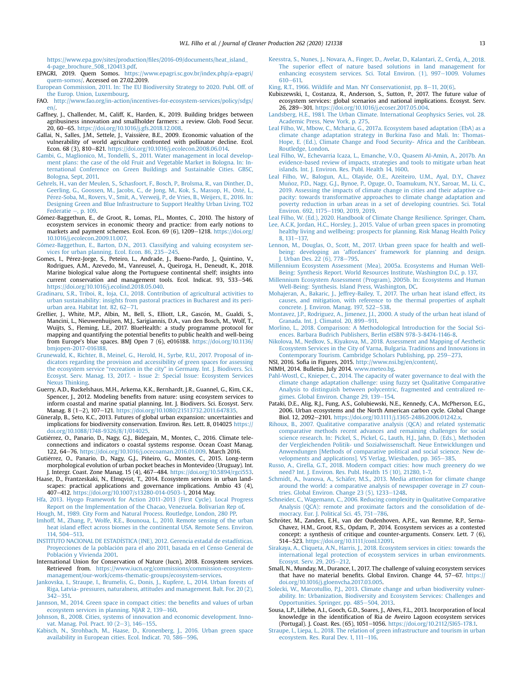[https://www.epa.gov/sites/production/](https://www.epa.gov/sites/production/files/2016-09/documents/heat_island_4-page_brochure_508_120413.pdf)files/2016-09/documents/heat\_island\_ [4-page\\_brochure\\_508\\_120413.pdf](https://www.epa.gov/sites/production/files/2016-09/documents/heat_island_4-page_brochure_508_120413.pdf).

- <span id="page-12-54"></span>EPAGRI, 2019. Quem Somos. [https://www.epagri.sc.gov.br/index.php/a-epagri/](https://www.epagri.sc.gov.br/index.php/a-epagri/quem-somos/) [quem-somos/.](https://www.epagri.sc.gov.br/index.php/a-epagri/quem-somos/) Accessed on 27.02.2019.
- <span id="page-12-4"></span>[European Commission, 2011. In: The EU Biodiversity Strategy to 2020. Publ. Off. of](http://refhub.elsevier.com/S0959-6526(20)31385-8/sref41) [the Europ. Union, Luxembourg](http://refhub.elsevier.com/S0959-6526(20)31385-8/sref41).
- <span id="page-12-25"></span>FAO. [http://www.fao.org/in-action/incentives-for-ecosystem-services/policy/sdgs/](http://www.fao.org/in-action/incentives-for-ecosystem-services/policy/sdgs/en/) [en/](http://www.fao.org/in-action/incentives-for-ecosystem-services/policy/sdgs/en/).
- <span id="page-12-55"></span>Gaffney, J., Challender, M., Califf, K., Harden, K., 2019. Building bridges between agribusiness innovation and smallholder farmers: a review. Glob. Food Secur. 20, 60-65. [https://doi.org/10.1016/j.gfs.2018.12.008.](https://doi.org/10.1016/j.gfs.2018.12.008)
- <span id="page-12-6"></span>Gallai, N., Salles, J.M., Settele, J., Vaissière, B.E., 2009. Economic valuation of the vulnerability of world agriculture confronted with pollinator decline. Ecol. Econ. 68 (3), 810-821. <https://doi.org/10.1016/j.ecolecon.2008.06.014>.
- <span id="page-12-20"></span>[Gambi, G., Maglionico, M., Tondelli, S., 2011. Water management in local develop](http://refhub.elsevier.com/S0959-6526(20)31385-8/sref46)[ment plans: the case of the old Fruit and Vegetable Market in Bologna. In: In](http://refhub.elsevier.com/S0959-6526(20)31385-8/sref46)[ternational Conference on Green Buildings and Sustainable Cities. GBSC,](http://refhub.elsevier.com/S0959-6526(20)31385-8/sref46) [Bologna, Sept, 2011.](http://refhub.elsevier.com/S0959-6526(20)31385-8/sref46)
- <span id="page-12-37"></span>[Gehrels, H., van der Meulen, S., Schasfoort, F., Bosch, P., Brolsma, R., van Dinther, D.,](http://refhub.elsevier.com/S0959-6526(20)31385-8/sref47) [Geerling, G., Goossen, M., Jacobs, C., de Jong, M., Kok, S., Massop, H., Oste, L.,](http://refhub.elsevier.com/S0959-6526(20)31385-8/sref47) [P](http://refhub.elsevier.com/S0959-6526(20)31385-8/sref47)e[rez-Soba, M., Rovers, V., Smit, A., Verweij, P., de Vries, B., Weijers, E., 2016. In:](http://refhub.elsevier.com/S0959-6526(20)31385-8/sref47) [Designing Green and Blue Infrastructure to Support Healthy Urban Living. TO2](http://refhub.elsevier.com/S0959-6526(20)31385-8/sref47) [Federatie](http://refhub.elsevier.com/S0959-6526(20)31385-8/sref47)  $-$ [, p. 109](http://refhub.elsevier.com/S0959-6526(20)31385-8/sref47).
- <span id="page-12-0"></span>Gómez-Baggethun, E., de Groot, R., Lomas, P.L., Montes, C., 2010. The history of ecosystem services in economic theory and practice: from early notions to markets and payment schemes. Ecol. Econ. 69 (6), 1209-1218. [https://doi.org/](https://doi.org/10.1016/j.ecolecon.2009.11.007) [10.1016/j.ecolecon.2009.11.007.](https://doi.org/10.1016/j.ecolecon.2009.11.007)

<span id="page-12-36"></span>[G](http://refhub.elsevier.com/S0959-6526(20)31385-8/sref49)o[mez-Baggethun, E., Barton, D.N., 2013. Classifying and valuing ecosystem ser](http://refhub.elsevier.com/S0959-6526(20)31385-8/sref49) [vices for urban planning. Ecol. Econ. 86, 235](http://refhub.elsevier.com/S0959-6526(20)31385-8/sref49)-[245](http://refhub.elsevier.com/S0959-6526(20)31385-8/sref49).

- <span id="page-12-40"></span>Gomes, I., Perez-Jorge, S., Peteiro, L., Andrade, J., Bueno-Pardo, J., Quintino, V., Rodrigues, A.M., Azevedo, M., Vanreusel, A., Queiroga, H., Deneudt, K., 2018. Marine biological value along the Portuguese continental shelf; insights into current conservation and management tools. Ecol. Indicat. 93, 533-546. [https://doi.org/10.1016/j.ecolind.2018.05.040.](https://doi.org/10.1016/j.ecolind.2018.05.040)
- <span id="page-12-38"></span>[Gradinaru, S.R., Triboi, R., Ioja, C.I., 2018. Contribution of agricultural activities to](http://refhub.elsevier.com/S0959-6526(20)31385-8/sref51) [urban sustainability: insights from pastoral practices in Bucharest and its peri](http://refhub.elsevier.com/S0959-6526(20)31385-8/sref51)[urban area. Habitat Int. 82, 62](http://refhub.elsevier.com/S0959-6526(20)31385-8/sref51)-[71.](http://refhub.elsevier.com/S0959-6526(20)31385-8/sref51)
- <span id="page-12-44"></span>Grellier, J., White, M.P., Albin, M., Bell, S., Elliott, L.R., Gascón, M., Gualdi, S., Mancini, L., Nieuwenhuijsen, M.J., Sarigiannis, D.A., van den Bosch, M., Wolf, T., Wuijts, S., Fleming, L.E., 2017. BlueHealth: a study programme protocol for mapping and quantifying the potential benefits to public health and well-being from Europe's blue spaces. BMJ Open 7 (6), e016188. [https://doi.org/10.1136/](https://doi.org/10.1136/bmjopen-2017-016188) [bmjopen-2017-016188.](https://doi.org/10.1136/bmjopen-2017-016188)
- <span id="page-12-34"></span>[Grunewald, K., Richter, B., Meinel, G., Herold, H., Syrbe, R.U., 2017. Proposal of in](http://refhub.elsevier.com/S0959-6526(20)31385-8/sref53)[dicators regarding the provision and accessibility of green spaces for assessing](http://refhub.elsevier.com/S0959-6526(20)31385-8/sref53) the ecosystem service "recreation in the city" [in Germany. Int. J. Biodivers. Sci.](http://refhub.elsevier.com/S0959-6526(20)31385-8/sref53) [Ecosyst. Serv. Manag. 13, 2017. - Issue 2: Special Issue: Ecosystem Services](http://refhub.elsevier.com/S0959-6526(20)31385-8/sref53) [Nexus Thinking](http://refhub.elsevier.com/S0959-6526(20)31385-8/sref53).
- <span id="page-12-9"></span>Guerry, A.D., Ruckelshaus, M.H., Arkema, K.K., Bernhardt, J.R., Guannel, G., Kim, C.K., Spencer, J., 2012. Modeling benefits from nature: using ecosystem services to inform coastal and marine spatial planning. Int. J. Biodivers. Sci. Ecosyst. Serv. Manag. 8 (1-2), 107-121. https://doi.org/10.1080/21513732.2011.647835
- <span id="page-12-14"></span>Güneralp, B., Seto, K.C., 2013. Futures of global urban expansion: uncertainties and implications for biodiversity conservation. Environ. Res. Lett. 8, 014025 [https://](https://doi.org/10.1088/1748-9326/8/1/014025) [doi.org/10.1088/1748-9326/8/1/014025.](https://doi.org/10.1088/1748-9326/8/1/014025)
- <span id="page-12-43"></span>Gutiérrez, O., Panario, D., Nagy, G.J., Bidegain, M., Montes, C., 2016. Climate teleconnections and indicators o coastal systems response. Ocean Coast Manag. 122, 64-76. <https://doi.org/10.1016/j.ocecoaman.2016.01.009>. March 2016.
- <span id="page-12-42"></span>Gutiérrez, O., Panario, D., Nagy, G.J., Piñeiro, G., Montes, C., 2015. Long-term morphological evolution of urban pocket beaches in Montevideo (Uruguay). Int. J. Intergr. Coast. Zone Manag. 15 (4), 467-484. <https://doi.org/10.5894/rgci553>.
- <span id="page-12-11"></span>Haase, D., Frantzeskaki, N., Elmqvist, T., 2014. Ecosystem services in urban landscapes: practical applications and governance implications. Ambio 43 (4), 407-412. [https://doi.org/10.1007/s13280-014-0503-1,](https://doi.org/10.1007/s13280-014-0503-1) 2014 May.
- <span id="page-12-53"></span>[Hfa, 2013. Hyogo Framework for Action 2011-2013 \(First Cycle\). Local Progress](http://refhub.elsevier.com/S0959-6526(20)31385-8/sref62) [Report on the Implementation of the Chacao, Venezuela. Bolivarian Rep of](http://refhub.elsevier.com/S0959-6526(20)31385-8/sref62). [Hough, M., 1989. City Form and Natural Process. Routledge, London, 280 PP.](http://refhub.elsevier.com/S0959-6526(20)31385-8/optFy3FNfTJ4i)
- <span id="page-12-50"></span><span id="page-12-24"></span>[Imhoff, M., Zhang, P., Wolfe, R.E., Bounoua, L., 2010. Remote sensing of the urban](http://refhub.elsevier.com/S0959-6526(20)31385-8/sref63) [heat island effect across biomes in the continental USA. Remote Sens. Environ.](http://refhub.elsevier.com/S0959-6526(20)31385-8/sref63) [114, 504](http://refhub.elsevier.com/S0959-6526(20)31385-8/sref63)-[513](http://refhub.elsevier.com/S0959-6526(20)31385-8/sref63).
- <span id="page-12-41"></span>[INSTITUTO NACIONAL DE ESTAD](http://refhub.elsevier.com/S0959-6526(20)31385-8/sref64)I[STICA \(INE\), 2012. Gerencia estadal de estadísticas.](http://refhub.elsevier.com/S0959-6526(20)31385-8/sref64) [Proyecciones de la poblaci](http://refhub.elsevier.com/S0959-6526(20)31385-8/sref64)ó[n para el a](http://refhub.elsevier.com/S0959-6526(20)31385-8/sref64)ñ[o 2011, basada en el Censo General de](http://refhub.elsevier.com/S0959-6526(20)31385-8/sref64) [Poblaci](http://refhub.elsevier.com/S0959-6526(20)31385-8/sref64)ó[n y Vivienda 2001](http://refhub.elsevier.com/S0959-6526(20)31385-8/sref64).
- <span id="page-12-3"></span>International Union for Conservation of Nature (Iucn), 2018. Ecosystem services. Retrieved from. [https://www.iucn.org/commissions/commission-ecosystem](https://www.iucn.org/commissions/commission-ecosystem-management/our-work/cems-thematic-groups/ecosystem-services)[management/our-work/cems-thematic-groups/ecosystem-services.](https://www.iucn.org/commissions/commission-ecosystem-management/our-work/cems-thematic-groups/ecosystem-services)
- <span id="page-12-52"></span>[Jankovska, I., Straupe, I., Brumelis, G., Donis, J., Kupfere, L., 2014. Urban forests of](http://refhub.elsevier.com/S0959-6526(20)31385-8/sref66) [Riga, Latvia- pressures, naturalness, attitudes and management. Balt. For. 20 \(2\),](http://refhub.elsevier.com/S0959-6526(20)31385-8/sref66)  $342 - 351$  $342 - 351$ .
- <span id="page-12-17"></span>[Jannson, M., 2014. Green space in compact cities: the bene](http://refhub.elsevier.com/S0959-6526(20)31385-8/sref68)fits and values of urban [ecosystem services in planning. NJAR 2, 139](http://refhub.elsevier.com/S0959-6526(20)31385-8/sref68)-[160](http://refhub.elsevier.com/S0959-6526(20)31385-8/sref68).
- <span id="page-12-18"></span>[Johnson, B., 2008. Cities, systems of innovation and economic development. Inno](http://refhub.elsevier.com/S0959-6526(20)31385-8/sref69)vat. Manag. Pol. Pract.  $10(2-3)$ ,  $146-155$  $146-155$ .
- <span id="page-12-33"></span>[Kabisch, N., Strohbach, M., Haase, D., Kronenberg, J., 2016. Urban green space](http://refhub.elsevier.com/S0959-6526(20)31385-8/sref70) [availability in European cities. Ecol. Indicat. 70, 586](http://refhub.elsevier.com/S0959-6526(20)31385-8/sref70)-[596.](http://refhub.elsevier.com/S0959-6526(20)31385-8/sref70)
- <span id="page-12-12"></span>[Keesstra, S., Nunes, J., Novara, A., Finger, D., Avelar, D., Kalantari, Z., Cerd](http://refhub.elsevier.com/S0959-6526(20)31385-8/sref71) a[, A., 2018.](http://refhub.elsevier.com/S0959-6526(20)31385-8/sref71) [The superior effect of nature based solutions in land management for](http://refhub.elsevier.com/S0959-6526(20)31385-8/sref71) [enhancing ecosystem services. Sci. Total Environ. \(1\), 997](http://refhub.elsevier.com/S0959-6526(20)31385-8/sref71)-[1009. Volumes](http://refhub.elsevier.com/S0959-6526(20)31385-8/sref71) [610](http://refhub.elsevier.com/S0959-6526(20)31385-8/sref71)-[611.](http://refhub.elsevier.com/S0959-6526(20)31385-8/sref71)
- <span id="page-12-5"></span>
- <span id="page-12-1"></span>[King, R.T., 1966. Wildlife and Man. NY Conservationist, pp. 8](http://refhub.elsevier.com/S0959-6526(20)31385-8/sref72)–[11, 20\(6\).](http://refhub.elsevier.com/S0959-6526(20)31385-8/sref72)<br>Kubiszewski, I., Costanza, R., Anderson, S., Sutton, P., 2017. The future value of ecosystem services: global scenarios and national implications. Ecosyst. Serv. 26, 289-301. <https://doi.org/10.1016/j.ecoser.2017.05.004>.
- <span id="page-12-22"></span>[Landsberg, H.E., 1981. The Urban Climate. International Geophysics Series, vol. 28.](http://refhub.elsevier.com/S0959-6526(20)31385-8/sref74) [Academic Press, New York, p. 275.](http://refhub.elsevier.com/S0959-6526(20)31385-8/sref74)
- <span id="page-12-10"></span>[Leal Filho, W., Mbow, C., Mcharia, G., 2017a. Ecosystem based adaptation \(EbA\) as a](http://refhub.elsevier.com/S0959-6526(20)31385-8/sref75) [climate change adaptation strategy in Burkina Faso and Mali. In: Thomas-](http://refhub.elsevier.com/S0959-6526(20)31385-8/sref75)[Hope, E. \(Ed.\), Climate Change and Food Security- Africa and the Caribbean.](http://refhub.elsevier.com/S0959-6526(20)31385-8/sref75) [Routledge, London](http://refhub.elsevier.com/S0959-6526(20)31385-8/sref75).
- <span id="page-12-21"></span>[Leal Filho, W., Echevarria Icaza, L., Emanche, V.O., Quasem Al-Amin, A., 2017b. An](http://refhub.elsevier.com/S0959-6526(20)31385-8/sref76) [evidence-based review of impacts, strategies and tools to mitigate urban heat](http://refhub.elsevier.com/S0959-6526(20)31385-8/sref76) [islands. Int. J. Environ. Res. Publ. Health 14, 1600](http://refhub.elsevier.com/S0959-6526(20)31385-8/sref76).
- <span id="page-12-27"></span>[Leal Filho, W., Balogun, A.L., Olayide, O.E., Azeiteiro, U.M., Ayal, D.Y., Chavez](http://refhub.elsevier.com/S0959-6526(20)31385-8/sref77) Muñoz, P.D., Nagy, G.J., Bynoe, P., Oguge, O., Toamukum, N.Y., Saroar, M., Li, C.<br>[2019. Assessing the impacts of climate change in cities and their adaptive ca](http://refhub.elsevier.com/S0959-6526(20)31385-8/sref77)[pacity: towards transformative approaches to climate change adaptation and](http://refhub.elsevier.com/S0959-6526(20)31385-8/sref77) [poverty reduction in urban areas in a set of developing countries. Sci. Total](http://refhub.elsevier.com/S0959-6526(20)31385-8/sref77) [Environ. 692, 1175](http://refhub.elsevier.com/S0959-6526(20)31385-8/sref77)-[1190, 2019, 2019](http://refhub.elsevier.com/S0959-6526(20)31385-8/sref77).
- <span id="page-12-26"></span>[Leal Filho, W. \(Ed.\), 2020. Handbook of Climate Change Resilience. Springer, Cham](http://refhub.elsevier.com/S0959-6526(20)31385-8/sref78).
- <span id="page-12-45"></span>[Lee, A.C.K, Jordan, H.C., Horsley, J., 2015. Value of urban green spaces in promoting](http://refhub.elsevier.com/S0959-6526(20)31385-8/optBCfWLXD3hV) [healthy living and wellbeing: prospects for planning. Risk Manag Health Policy](http://refhub.elsevier.com/S0959-6526(20)31385-8/optBCfWLXD3hV) [8, 131](http://refhub.elsevier.com/S0959-6526(20)31385-8/optBCfWLXD3hV)-[137.](http://refhub.elsevier.com/S0959-6526(20)31385-8/optBCfWLXD3hV)
- <span id="page-12-46"></span>[Lennon, M., Douglas, O., Scott, M., 2017. Urban green space for health and well](http://refhub.elsevier.com/S0959-6526(20)31385-8/sref79)being: developing an 'affordances' [framework for planning and design.](http://refhub.elsevier.com/S0959-6526(20)31385-8/sref79) [J. Urban Des. 22 \(6\), 778](http://refhub.elsevier.com/S0959-6526(20)31385-8/sref79)-[795](http://refhub.elsevier.com/S0959-6526(20)31385-8/sref79).
- <span id="page-12-2"></span>[Millennium Ecosystem Assessment \(Mea\), 2005a. Ecosystems and Human Well-](http://refhub.elsevier.com/S0959-6526(20)31385-8/sref83)[Being: Synthesis Report. World Resources Institute, Washington D.C, p. 137.](http://refhub.elsevier.com/S0959-6526(20)31385-8/sref83)
- [Millennium Ecosystem Assessment \(Program\), 2005b. In: Ecosystems and Human](http://refhub.elsevier.com/S0959-6526(20)31385-8/sref84) [Well-Being: Synthesis. Island Press, Washington, DC](http://refhub.elsevier.com/S0959-6526(20)31385-8/sref84).
- <span id="page-12-16"></span>[Mohajeran, A., Bakaric, J., Jeffrey-Bailey, T., 2017. The urban heat island effect, its](http://refhub.elsevier.com/S0959-6526(20)31385-8/sref85) [causes, and mitigation, with reference to the thermal properties of asphalt](http://refhub.elsevier.com/S0959-6526(20)31385-8/sref85) [concrete. J. Environ. Manag. 197, 522](http://refhub.elsevier.com/S0959-6526(20)31385-8/sref85)-[538.](http://refhub.elsevier.com/S0959-6526(20)31385-8/sref85)
- <span id="page-12-23"></span>[Montavez, J.P., Rodriguez, A., Jimenez, J.I., 2000. A study of the urban heat island of](http://refhub.elsevier.com/S0959-6526(20)31385-8/sref86) [Granada. Int. J. Climatol. 20, 899](http://refhub.elsevier.com/S0959-6526(20)31385-8/sref86)-[911.](http://refhub.elsevier.com/S0959-6526(20)31385-8/sref86)
- <span id="page-12-28"></span>[Morlino, L., 2018. Comparison: A Methodological Introduction for the Social Sci](http://refhub.elsevier.com/S0959-6526(20)31385-8/sref87)[ences. Barbara Budrich Publishers, Berlin eISBN 978-3-8474-1146-8](http://refhub.elsevier.com/S0959-6526(20)31385-8/sref87).
- <span id="page-12-49"></span>[Nikolova, M., Nedkov, S., Kiyakova, M., 2018. Assessment and Mapping of Aesthetic](http://refhub.elsevier.com/S0959-6526(20)31385-8/sref88) [Ecosystem Services in the City of Varna, Bulgaria. Traditions and Innovations in](http://refhub.elsevier.com/S0959-6526(20)31385-8/sref88) [Contemporary Tourism. Cambridge Scholars Publishing, pp. 259](http://refhub.elsevier.com/S0959-6526(20)31385-8/sref88)-[273](http://refhub.elsevier.com/S0959-6526(20)31385-8/sref88).
- <span id="page-12-47"></span>NSI, 2016. Sofia in Figures, 2015. <http://www.nsi.bg/en/content/>.
- <span id="page-12-48"></span>NIMH, 2014. Bulletin. July 2014. [www.meteo.bg.](http://www.meteo.bg)
- <span id="page-12-30"></span>[Pahl-Wostl, C., Knieper, C., 2014. The capacity of water governance to deal with the](http://refhub.elsevier.com/S0959-6526(20)31385-8/sref91) [climate change adaptation challenge: using fuzzy set Qualitative Comparative](http://refhub.elsevier.com/S0959-6526(20)31385-8/sref91) [Analysis to distinguish between polycentric, fragmented and centralized re](http://refhub.elsevier.com/S0959-6526(20)31385-8/sref91)[gimes. Global Environ. Change 29, 139](http://refhub.elsevier.com/S0959-6526(20)31385-8/sref91)-[154](http://refhub.elsevier.com/S0959-6526(20)31385-8/sref91).
- <span id="page-12-13"></span>Pataki, D.E., Alig, R.J., Fung, A.S., Golubiewski, N.E., Kennedy, C.A., McPherson, E.G., 2006. Urban ecosystems and the North American carbon cycle. Global Change Biol. 12, 2092-2101. <https://doi.org/10.1111/j.1365-2486.2006.01242.x>.
- <span id="page-12-29"></span>[Rihoux, B., 2007. Qualitative comparative analysis \(QCA\) and related systematic](http://refhub.elsevier.com/S0959-6526(20)31385-8/sref94) [comparative methods recent advances and remaining challenges for social](http://refhub.elsevier.com/S0959-6526(20)31385-8/sref94) [science research. In: Pickel, S., Pickel, G., Lauth, H.J., Jahn, D. \(Eds.\), Methoden](http://refhub.elsevier.com/S0959-6526(20)31385-8/sref94) [der Vergleichenden Politik- und Sozialwissenschaft. Neue Entwicklungen und](http://refhub.elsevier.com/S0959-6526(20)31385-8/sref94) [Anwendungen \[Methods of comparative political and social science. New de](http://refhub.elsevier.com/S0959-6526(20)31385-8/sref94)[velopments and applications\]. VS Verlag, Wiesbaden, pp. 365](http://refhub.elsevier.com/S0959-6526(20)31385-8/sref94)-[385](http://refhub.elsevier.com/S0959-6526(20)31385-8/sref94).
- <span id="page-12-35"></span>[Russo, A., Cirella, G.T., 2018. Modern compact cities: how much greenery do we](http://refhub.elsevier.com/S0959-6526(20)31385-8/sref95) [need? Int. J. Environ. Res. Publ. Health 15 \(10\), 21280, 1-7.](http://refhub.elsevier.com/S0959-6526(20)31385-8/sref95)
- <span id="page-12-31"></span>Schmidt, A., Ivanova, A., Schäfer, M.S., 2013. Media attention for climate change [around the world: a comparative analysis of newspaper coverage in 27 coun](http://refhub.elsevier.com/S0959-6526(20)31385-8/sref96)tries. Global Environ. Change  $23$  (5),  $1233-1248$  $1233-1248$ .
- <span id="page-12-32"></span>[Schneider, C., Wagemann, C., 2006. Reducing complexity in Qualitative Comparative](http://refhub.elsevier.com/S0959-6526(20)31385-8/sref97) [Analysis \(QCA\): remote and proximate factors and the consolidation of de](http://refhub.elsevier.com/S0959-6526(20)31385-8/sref97)[mocracy. Eur. J. Political Sci. 45, 751](http://refhub.elsevier.com/S0959-6526(20)31385-8/sref97)-[786.](http://refhub.elsevier.com/S0959-6526(20)31385-8/sref97)
- <span id="page-12-7"></span>Schröter, M., Zanden, E.H., van der Oudenhoven, A.P.E., van Remme, R.P., Serna-Chavez, H.M., Groot, R.S., Opdam, P., 2014. Ecosystem services as a contested concept: a synthesis of critique and counter-arguments. Conserv. Lett. 7 (6), 514-523. [https://doi.org/10.1111/conl.12091.](https://doi.org/10.1111/conl.12091)
- <span id="page-12-19"></span>[Sirakaya, A., Cliqueta, A.N., Harris, J., 2018. Ecosystem services in cities: towards the](http://refhub.elsevier.com/S0959-6526(20)31385-8/sref99) [international legal protection of ecosystem services in urban environments.](http://refhub.elsevier.com/S0959-6526(20)31385-8/sref99) [Ecosyst. Serv. 29, 205](http://refhub.elsevier.com/S0959-6526(20)31385-8/sref99)-[212.](http://refhub.elsevier.com/S0959-6526(20)31385-8/sref99)
- <span id="page-12-8"></span>Small, N., Munday, M., Durance, I., 2017. The challenge of valuing ecosystem services that have no material benefits. Global Environ. Change  $44$ , 57-67. [https://](https://doi.org/10.1016/j.gloenvcha.2017.03.005) [doi.org/10.1016/j.gloenvcha.2017.03.005](https://doi.org/10.1016/j.gloenvcha.2017.03.005).
- <span id="page-12-15"></span>[Solecki, W., Marcotullio, P.J., 2013. Climate change and urban biodiversity vulner](http://refhub.elsevier.com/S0959-6526(20)31385-8/sref101)[ability. In: Urbanization, Biodiversity and Ecosystem Services: Challenges and](http://refhub.elsevier.com/S0959-6526(20)31385-8/sref101) [Opportunities. Springer, pp. 485](http://refhub.elsevier.com/S0959-6526(20)31385-8/sref101)-[504, 2013](http://refhub.elsevier.com/S0959-6526(20)31385-8/sref101).
- <span id="page-12-39"></span>Sousa, L.P., Lillebø, A.I., Gooch, G.D., Soares, J., Alves, F.L., 2013. Incorporation of local knowledge in the identification of Ria de Aveiro Lagoon ecosystem services (Portugal). J. Coast. Res. (65), 1051-1056. [https://doi.org/10.2112/SI65-178.1.](https://doi.org/10.2112/SI65-178.1)
- <span id="page-12-51"></span>[Straupe, I., Liepa, L., 2018. The relation of green infrastructure and tourism in urban](http://refhub.elsevier.com/S0959-6526(20)31385-8/sref103) [ecosystem. Res. Rural Dev. 1, 111](http://refhub.elsevier.com/S0959-6526(20)31385-8/sref103)-[116](http://refhub.elsevier.com/S0959-6526(20)31385-8/sref103).